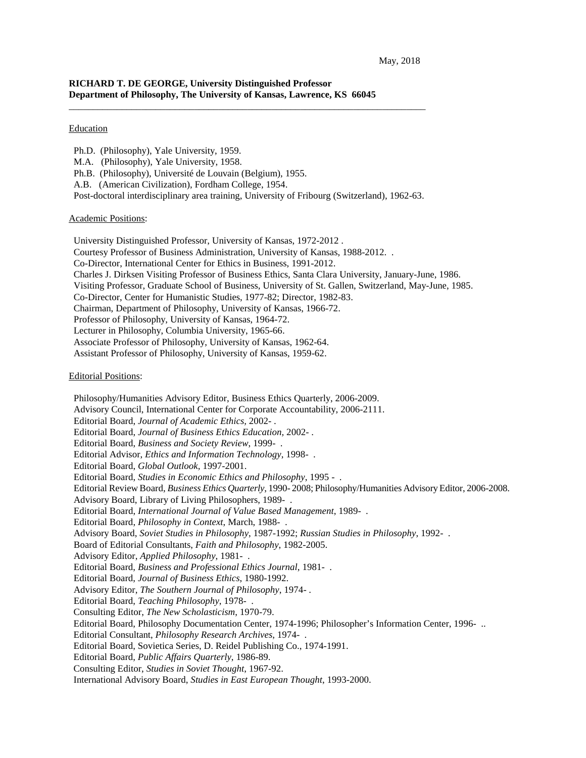# **RICHARD T. DE GEORGE, University Distinguished Professor Department of Philosophy, The University of Kansas, Lawrence, KS 66045**

## Education

- Ph.D. (Philosophy), Yale University, 1959.
- M.A. (Philosophy), Yale University, 1958.
- Ph.B. (Philosophy), Université de Louvain (Belgium), 1955.
- A.B. (American Civilization), Fordham College, 1954.
- Post-doctoral interdisciplinary area training, University of Fribourg (Switzerland), 1962-63.

\_\_\_\_\_\_\_\_\_\_\_\_\_\_\_\_\_\_\_\_\_\_\_\_\_\_\_\_\_\_\_\_\_\_\_\_\_\_\_\_\_\_\_\_\_\_\_\_\_\_\_\_\_\_\_\_\_\_\_\_\_\_\_\_\_\_\_\_\_\_\_\_\_\_

## Academic Positions:

- University Distinguished Professor, University of Kansas, 1972-2012 .
- Courtesy Professor of Business Administration, University of Kansas, 1988-2012. .
- Co-Director, International Center for Ethics in Business, 1991-2012.
- Charles J. Dirksen Visiting Professor of Business Ethics, Santa Clara University, January-June, 1986.
- Visiting Professor, Graduate School of Business, University of St. Gallen, Switzerland, May-June, 1985.
- Co-Director, Center for Humanistic Studies, 1977-82; Director, 1982-83.
- Chairman, Department of Philosophy, University of Kansas, 1966-72.
- Professor of Philosophy, University of Kansas, 1964-72.
- Lecturer in Philosophy, Columbia University, 1965-66.
- Associate Professor of Philosophy, University of Kansas, 1962-64.
- Assistant Professor of Philosophy, University of Kansas, 1959-62.

### Editorial Positions:

 Philosophy/Humanities Advisory Editor, Business Ethics Quarterly, 2006-2009. Advisory Council, International Center for Corporate Accountability, 2006-2111. Editorial Board, *Journal of Academic Ethics,* 2002- . Editorial Board, *Journal of Business Ethics Education,* 2002- . Editorial Board, *Business and Society Review*, 1999- . Editorial Advisor, *Ethics and Information Technology*, 1998- . Editorial Board, *Global Outlook,* 1997-2001. Editorial Board, *Studies in Economic Ethics and Philosophy*, 1995 - . Editorial Review Board, *Business Ethics Quarterly*, 1990- 2008; Philosophy/Humanities Advisory Editor, 2006-2008. Advisory Board, Library of Living Philosophers, 1989- . Editorial Board, *International Journal of Value Based Management*, 1989- . Editorial Board, *Philosophy in Context*, March, 1988- . Advisory Board, *Soviet Studies in Philosophy*, 1987-1992; *Russian Studies in Philosophy*, 1992- . Board of Editorial Consultants, *Faith and Philosophy*, 1982-2005. Advisory Editor, *Applied Philosophy*, 1981- . Editorial Board, *Business and Professional Ethics Journal*, 1981- . Editorial Board, *Journal of Business Ethics*, 1980-1992. Advisory Editor, *The Southern Journal of Philosophy*, 1974- . Editorial Board, *Teaching Philosophy*, 1978- . Consulting Editor, *The New Scholasticism*, 1970-79. Editorial Board, Philosophy Documentation Center, 1974-1996; Philosopher's Information Center, 1996- .. Editorial Consultant, *Philosophy Research Archives*, 1974- . Editorial Board, Sovietica Series, D. Reidel Publishing Co., 1974-1991. Editorial Board, *Public Affairs Quarterly*, 1986-89. Consulting Editor, *Studies in Soviet Thought*, 1967-92. International Advisory Board, *Studies in East European Thought*, 1993-2000.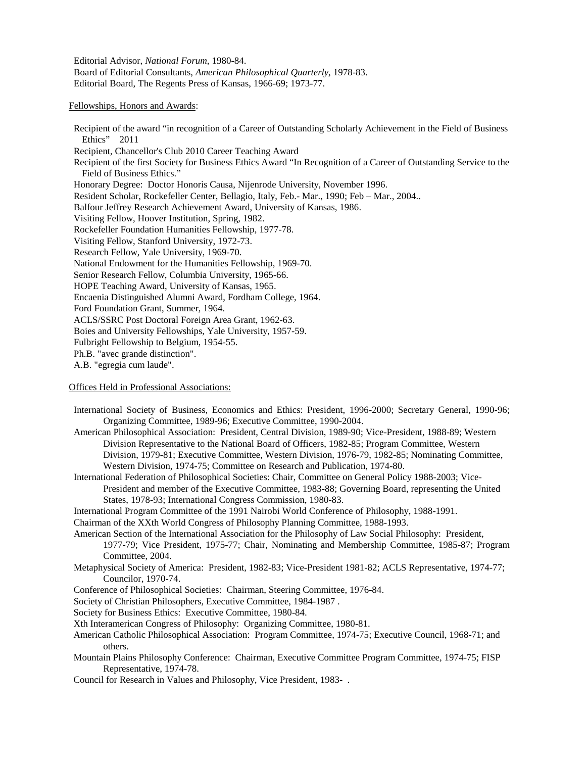Editorial Advisor, *National Forum*, 1980-84. Board of Editorial Consultants, *American Philosophical Quarterly*, 1978-83. Editorial Board, The Regents Press of Kansas, 1966-69; 1973-77.

## Fellowships, Honors and Awards:

Recipient of the award "in recognition of a Career of Outstanding Scholarly Achievement in the Field of Business Ethics" 2011 Recipient, Chancellor's Club 2010 Career Teaching Award Recipient of the first Society for Business Ethics Award "In Recognition of a Career of Outstanding Service to the Field of Business Ethics." Honorary Degree: Doctor Honoris Causa, Nijenrode University, November 1996. Resident Scholar, Rockefeller Center, Bellagio, Italy, Feb.- Mar., 1990; Feb – Mar., 2004.. Balfour Jeffrey Research Achievement Award, University of Kansas, 1986. Visiting Fellow, Hoover Institution, Spring, 1982. Rockefeller Foundation Humanities Fellowship, 1977-78. Visiting Fellow, Stanford University, 1972-73. Research Fellow, Yale University, 1969-70. National Endowment for the Humanities Fellowship, 1969-70. Senior Research Fellow, Columbia University, 1965-66. HOPE Teaching Award, University of Kansas, 1965. Encaenia Distinguished Alumni Award, Fordham College, 1964. Ford Foundation Grant, Summer, 1964. ACLS/SSRC Post Doctoral Foreign Area Grant, 1962-63. Boies and University Fellowships, Yale University, 1957-59. Fulbright Fellowship to Belgium, 1954-55. Ph.B. "avec grande distinction". A.B. "egregia cum laude".

## Offices Held in Professional Associations:

- International Society of Business, Economics and Ethics: President, 1996-2000; Secretary General, 1990-96; Organizing Committee, 1989-96; Executive Committee, 1990-2004.
- American Philosophical Association: President, Central Division, 1989-90; Vice-President, 1988-89; Western Division Representative to the National Board of Officers, 1982-85; Program Committee, Western Division, 1979-81; Executive Committee, Western Division, 1976-79, 1982-85; Nominating Committee, Western Division, 1974-75; Committee on Research and Publication, 1974-80.
- International Federation of Philosophical Societies: Chair, Committee on General Policy 1988-2003; Vice-President and member of the Executive Committee, 1983-88; Governing Board, representing the United States, 1978-93; International Congress Commission, 1980-83.
- International Program Committee of the 1991 Nairobi World Conference of Philosophy, 1988-1991.
- Chairman of the XXth World Congress of Philosophy Planning Committee, 1988-1993.
- American Section of the International Association for the Philosophy of Law Social Philosophy: President, 1977-79; Vice President, 1975-77; Chair, Nominating and Membership Committee, 1985-87; Program Committee, 2004.
- Metaphysical Society of America: President, 1982-83; Vice-President 1981-82; ACLS Representative, 1974-77; Councilor, 1970-74.
- Conference of Philosophical Societies: Chairman, Steering Committee, 1976-84.
- Society of Christian Philosophers, Executive Committee, 1984-1987 .
- Society for Business Ethics: Executive Committee, 1980-84.
- Xth Interamerican Congress of Philosophy: Organizing Committee, 1980-81.
- American Catholic Philosophical Association: Program Committee, 1974-75; Executive Council, 1968-71; and others.
- Mountain Plains Philosophy Conference: Chairman, Executive Committee Program Committee, 1974-75; FISP Representative, 1974-78.
- Council for Research in Values and Philosophy, Vice President, 1983- .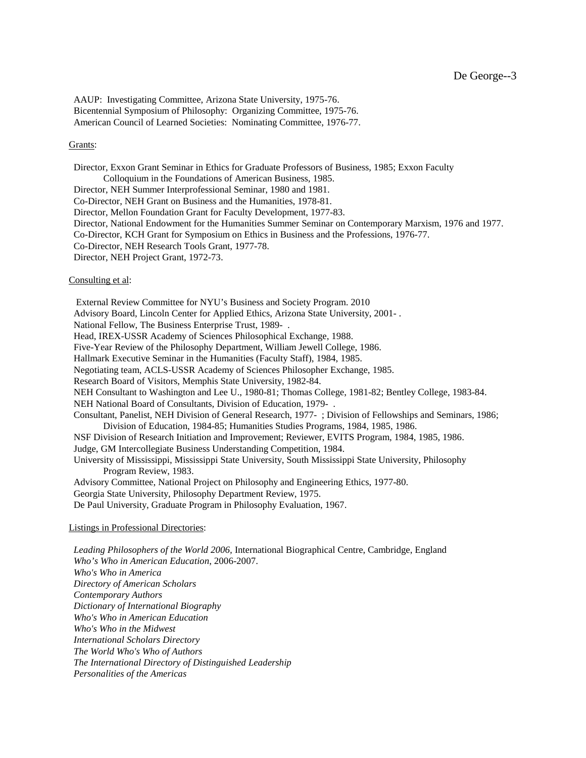AAUP: Investigating Committee, Arizona State University, 1975-76. Bicentennial Symposium of Philosophy: Organizing Committee, 1975-76. American Council of Learned Societies: Nominating Committee, 1976-77.

## Grants:

 Director, Exxon Grant Seminar in Ethics for Graduate Professors of Business, 1985; Exxon Faculty Colloquium in the Foundations of American Business, 1985. Director, NEH Summer Interprofessional Seminar, 1980 and 1981. Co-Director, NEH Grant on Business and the Humanities, 1978-81. Director, Mellon Foundation Grant for Faculty Development, 1977-83. Director, National Endowment for the Humanities Summer Seminar on Contemporary Marxism, 1976 and 1977. Co-Director, KCH Grant for Symposium on Ethics in Business and the Professions, 1976-77. Co-Director, NEH Research Tools Grant, 1977-78. Director, NEH Project Grant, 1972-73. Consulting et al:

 External Review Committee for NYU's Business and Society Program. 2010 Advisory Board, Lincoln Center for Applied Ethics, Arizona State University, 2001- . National Fellow, The Business Enterprise Trust, 1989- . Head, IREX-USSR Academy of Sciences Philosophical Exchange, 1988. Five-Year Review of the Philosophy Department, William Jewell College, 1986. Hallmark Executive Seminar in the Humanities (Faculty Staff), 1984, 1985. Negotiating team, ACLS-USSR Academy of Sciences Philosopher Exchange, 1985. Research Board of Visitors, Memphis State University, 1982-84. NEH Consultant to Washington and Lee U., 1980-81; Thomas College, 1981-82; Bentley College, 1983-84. NEH National Board of Consultants, Division of Education, 1979- . Consultant, Panelist, NEH Division of General Research, 1977- ; Division of Fellowships and Seminars, 1986; Division of Education, 1984-85; Humanities Studies Programs, 1984, 1985, 1986. NSF Division of Research Initiation and Improvement; Reviewer, EVITS Program, 1984, 1985, 1986. Judge, GM Intercollegiate Business Understanding Competition, 1984. University of Mississippi, Mississippi State University, South Mississippi State University, Philosophy Program Review, 1983. Advisory Committee, National Project on Philosophy and Engineering Ethics, 1977-80. Georgia State University, Philosophy Department Review, 1975.

De Paul University, Graduate Program in Philosophy Evaluation, 1967.

## Listings in Professional Directories:

 *Leading Philosophers of the World 2006,* International Biographical Centre, Cambridge, England  *Who's Who in American Education*, 2006-2007. *Who's Who in America Directory of American Scholars Contemporary Authors Dictionary of International Biography Who's Who in American Education Who's Who in the Midwest International Scholars Directory The World Who's Who of Authors The International Directory of Distinguished Leadership Personalities of the Americas*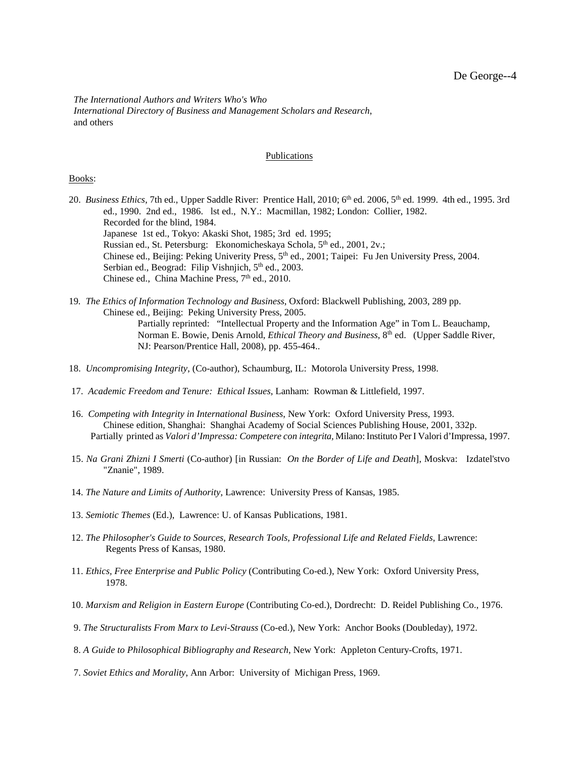*The International Authors and Writers Who's Who International Directory of Business and Management Scholars and Research*, and others

### Publications

#### Books:

20. *Business Ethics*, 7th ed., Upper Saddle River: Prentice Hall, 2010; 6<sup>th</sup> ed. 2006, 5<sup>th</sup> ed. 1999. 4th ed., 1995. 3rd ed., 1990. 2nd ed., 1986. lst ed., N.Y.: Macmillan, 1982; London: Collier, 1982. Recorded for the blind, 1984. Japanese 1st ed., Tokyo: Akaski Shot, 1985; 3rd ed. 1995; Russian ed., St. Petersburg: Ekonomicheskaya Schola, 5<sup>th</sup> ed., 2001, 2v.; Chinese ed., Beijing: Peking Univerity Press,  $5<sup>th</sup>$  ed., 2001; Taipei: Fu Jen University Press, 2004. Serbian ed., Beograd: Filip Vishnjich, 5<sup>th</sup> ed., 2003. Chinese ed., China Machine Press,  $7<sup>th</sup>$  ed., 2010.

19*. The Ethics of Information Technology and Business*, Oxford: Blackwell Publishing, 2003, 289 pp. Chinese ed., Beijing: Peking University Press, 2005. Partially reprinted: "Intellectual Property and the Information Age" in Tom L. Beauchamp, Norman E. Bowie, Denis Arnold, *Ethical Theory and Business*, 8<sup>th</sup> ed. (Upper Saddle River, NJ: Pearson/Prentice Hall, 2008), pp. 455-464..

- 18. *Uncompromising Integrity*, (Co-author), Schaumburg, IL: Motorola University Press, 1998.
- 17. *Academic Freedom and Tenure: Ethical Issues*, Lanham: Rowman & Littlefield, 1997.
- 16. *Competing with Integrity in International Business*, New York: Oxford University Press, 1993. Chinese edition, Shanghai: Shanghai Academy of Social Sciences Publishing House, 2001, 332p. Partially printed as *Valori d'Impressa: Competere con integrita,* Milano: Instituto Per I Valori d'Impressa, 1997.
- 15. *Na Grani Zhizni I Smerti* (Co-author) [in Russian: *On the Border of Life and Death*], Moskva: Izdatel'stvo "Znanie", 1989.
- 14. *The Nature and Limits of Authority*, Lawrence: University Press of Kansas, 1985.
- 13. *Semiotic Themes* (Ed.), Lawrence: U. of Kansas Publications, 1981.
- 12. *The Philosopher's Guide to Sources, Research Tools, Professional Life and Related Fields*, Lawrence: Regents Press of Kansas, 1980.
- 11. *Ethics, Free Enterprise and Public Policy* (Contributing Co-ed.), New York: Oxford University Press, 1978.
- 10. *Marxism and Religion in Eastern Europe* (Contributing Co-ed.), Dordrecht: D. Reidel Publishing Co., 1976.
- 9. *The Structuralists From Marx to Levi-Strauss* (Co-ed.), New York: Anchor Books (Doubleday), 1972.
- 8. *A Guide to Philosophical Bibliography and Research*, New York: Appleton Century-Crofts, 1971.
- 7. *Soviet Ethics and Morality*, Ann Arbor: University of Michigan Press, 1969.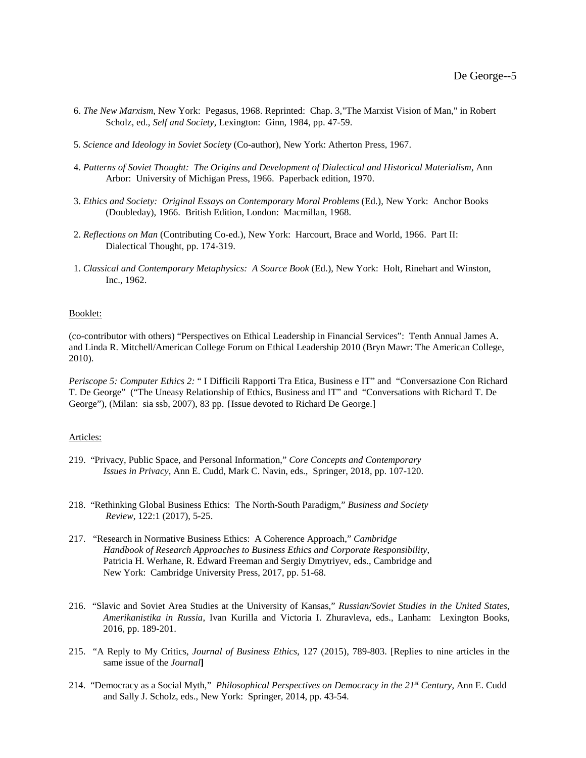- 6. *The New Marxism*, New York: Pegasus, 1968. Reprinted: Chap. 3,"The Marxist Vision of Man," in Robert Scholz, ed., *Self and Society*, Lexington: Ginn, 1984, pp. 47-59.
- 5*. Science and Ideology in Soviet Society* (Co-author), New York: Atherton Press, 1967.
- 4. *Patterns of Soviet Thought: The Origins and Development of Dialectical and Historical Materialism*, Ann Arbor: University of Michigan Press, 1966. Paperback edition, 1970.
- 3. *Ethics and Society: Original Essays on Contemporary Moral Problems* (Ed.), New York: Anchor Books (Doubleday), 1966. British Edition, London: Macmillan, 1968.
- 2. *Reflections on Man* (Contributing Co-ed.), New York: Harcourt, Brace and World, 1966. Part II: Dialectical Thought, pp. 174-319.
- 1. *Classical and Contemporary Metaphysics: A Source Book* (Ed.), New York: Holt, Rinehart and Winston, Inc., 1962.

## Booklet:

(co-contributor with others) "Perspectives on Ethical Leadership in Financial Services": Tenth Annual James A. and Linda R. Mitchell/American College Forum on Ethical Leadership 2010 (Bryn Mawr: The American College, 2010).

*Periscope 5: Computer Ethics 2:* " I Difficili Rapporti Tra Etica, Business e IT" and"Conversazione Con Richard T. De George" ("The Uneasy Relationship of Ethics, Business and IT" and "Conversations with Richard T. De George"), (Milan: sia ssb, 2007), 83 pp. {Issue devoted to Richard De George.]

### Articles:

- 219. "Privacy, Public Space, and Personal Information," *Core Concepts and Contemporary Issues in Privacy,* Ann E. Cudd, Mark C. Navin, eds., Springer, 2018, pp. 107-120.
- 218. "Rethinking Global Business Ethics: The North-South Paradigm," *Business and Society Review*, 122:1 (2017), 5-25.
- 217. "Research in Normative Business Ethics: A Coherence Approach," *Cambridge Handbook of Research Approaches to Business Ethics and Corporate Responsibility*, Patricia H. Werhane, R. Edward Freeman and Sergiy Dmytriyev, eds., Cambridge and New York: Cambridge University Press, 2017, pp. 51-68.
- 216. "Slavic and Soviet Area Studies at the University of Kansas," *Russian/Soviet Studies in the United States, Amerikanistika in Russia*, Ivan Kurilla and Victoria I. Zhuravleva, eds., Lanham: Lexington Books, 2016, pp. 189-201.
- 215. "A Reply to My Critics, *Journal of Business Ethics*, 127 (2015), 789-803. [Replies to nine articles in the same issue of the *Journal***]**
- 214. "Democracy as a Social Myth," *Philosophical Perspectives on Democracy in the 21st Century*, Ann E. Cudd and Sally J. Scholz, eds., New York: Springer, 2014, pp. 43-54.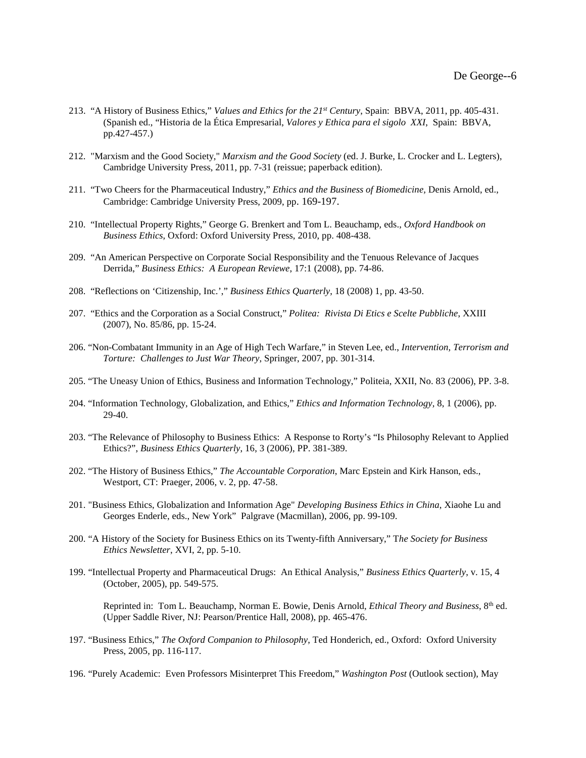- 213. "A History of Business Ethics," *Values and Ethics for the 21st Century*, Spain: BBVA, 2011, pp. 405-431. (Spanish ed., "Historia de la Ética Empresarial, *Valores y Ethica para el sigolo XXI*, Spain: BBVA, pp.427-457.)
- 212. "Marxism and the Good Society," *Marxism and the Good Society* (ed. J. Burke, L. Crocker and L. Legters), Cambridge University Press, 2011, pp. 7-31 (reissue; paperback edition).
- 211. "Two Cheers for the Pharmaceutical Industry," *Ethics and the Business of Biomedicine,* Denis Arnold, ed., Cambridge: Cambridge University Press, 2009, pp. 169-197.
- 210. "Intellectual Property Rights," George G. Brenkert and Tom L. Beauchamp, eds., *Oxford Handbook on Business Ethics*, Oxford: Oxford University Press, 2010, pp. 408-438.
- 209. "An American Perspective on Corporate Social Responsibility and the Tenuous Relevance of Jacques Derrida," *Business Ethics: A European Reviewe*, 17:1 (2008), pp. 74-86.
- 208. "Reflections on 'Citizenship, Inc.'," *Business Ethics Quarterly*, 18 (2008) 1, pp. 43-50.
- 207. "Ethics and the Corporation as a Social Construct," *Politea: Rivista Di Etics e Scelte Pubbliche*, XXIII (2007), No. 85/86, pp. 15-24.
- 206. "Non-Combatant Immunity in an Age of High Tech Warfare," in Steven Lee, ed., *Intervention, Terrorism and Torture: Challenges to Just War Theory*, Springer, 2007, pp. 301-314.
- 205. "The Uneasy Union of Ethics, Business and Information Technology," Politeia, XXII, No. 83 (2006), PP. 3-8.
- 204. "Information Technology, Globalization, and Ethics," *Ethics and Information Technology,* 8, 1 (2006), pp. 29-40.
- 203. "The Relevance of Philosophy to Business Ethics: A Response to Rorty's "Is Philosophy Relevant to Applied Ethics?", *Business Ethics Quarterly*, 16, 3 (2006), PP. 381-389.
- 202. "The History of Business Ethics," *The Accountable Corporation*, Marc Epstein and Kirk Hanson, eds., Westport, CT: Praeger, 2006, v. 2, pp. 47-58.
- 201. "Business Ethics, Globalization and Information Age" *Developing Business Ethics in China*, Xiaohe Lu and Georges Enderle, eds., New York" Palgrave (Macmillan), 2006, pp. 99-109.
- 200. "A History of the Society for Business Ethics on its Twenty-fifth Anniversary," T*he Society for Business Ethics Newsletter*, XVI, 2, pp. 5-10.
- 199. "Intellectual Property and Pharmaceutical Drugs: An Ethical Analysis," *Business Ethics Quarterly*, v. 15, 4 (October, 2005), pp. 549-575.

Reprinted in: Tom L. Beauchamp, Norman E. Bowie, Denis Arnold, *Ethical Theory and Business*, 8th ed. (Upper Saddle River, NJ: Pearson/Prentice Hall, 2008), pp. 465-476.

- 197. "Business Ethics," *The Oxford Companion to Philosophy*, Ted Honderich, ed., Oxford: Oxford University Press, 2005, pp. 116-117.
- 196. "Purely Academic: Even Professors Misinterpret This Freedom," *Washington Post* (Outlook section), May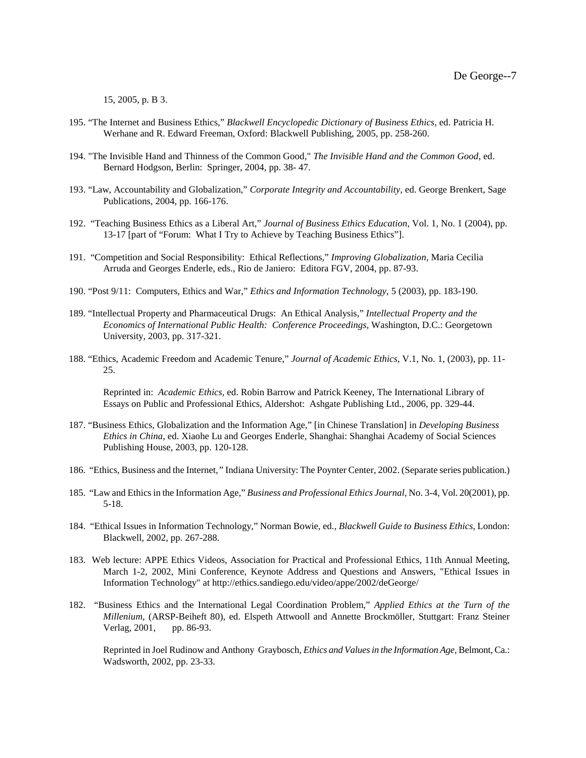15, 2005, p. B 3.

- 195. "The Internet and Business Ethics," *Blackwell Encyclopedic Dictionary of Business Ethics*, ed. Patricia H. Werhane and R. Edward Freeman, Oxford: Blackwell Publishing, 2005, pp. 258-260.
- 194. "The Invisible Hand and Thinness of the Common Good," *The Invisible Hand and the Common Good*, ed. Bernard Hodgson, Berlin: Springer, 2004, pp. 38- 47.
- 193. "Law, Accountability and Globalization," *Corporate Integrity and Accountability*, ed. George Brenkert, Sage Publications, 2004, pp. 166-176.
- 192. "Teaching Business Ethics as a Liberal Art," *Journal of Business Ethics Education*, Vol. 1, No. 1 (2004), pp. 13-17 [part of "Forum: What I Try to Achieve by Teaching Business Ethics"].
- 191. "Competition and Social Responsibility: Ethical Reflections," *Improving Globalization,* Maria Cecilia Arruda and Georges Enderle, eds., Rio de Janiero: Editora FGV, 2004, pp. 87-93.
- 190. "Post 9/11: Computers, Ethics and War," *Ethics and Information Technology*, 5 (2003), pp. 183-190.
- 189. "Intellectual Property and Pharmaceutical Drugs: An Ethical Analysis," *Intellectual Property and the Economics of International Public Health: Conference Proceedings,* Washington, D.C.: Georgetown University, 2003, pp. 317-321.
- 188. "Ethics, Academic Freedom and Academic Tenure," *Journal of Academic Ethics*, V.1, No. 1, (2003), pp. 11- 25.

Reprinted in: *Academic Ethics*, ed. Robin Barrow and Patrick Keeney, The International Library of Essays on Public and Professional Ethics, Aldershot: Ashgate Publishing Ltd., 2006, pp. 329-44.

- 187. "Business Ethics, Globalization and the Information Age," [in Chinese Translation] in *Developing Business Ethics in China*, ed. Xiaohe Lu and Georges Enderle, Shanghai: Shanghai Academy of Social Sciences Publishing House, 2003, pp. 120-128.
- 186. "Ethics, Business and the Internet*,"* Indiana University: The Poynter Center, 2002. (Separate series publication.)
- 185. "Law and Ethics in the Information Age," *Business and Professional Ethics Journal*, No. 3-4, Vol. 20(2001), pp. 5-18.
- 184. "Ethical Issues in Information Technology," Norman Bowie, ed., *Blackwell Guide to Business Ethics*, London: Blackwell, 2002, pp. 267-288.
- 183. Web lecture: APPE Ethics Videos, Association for Practical and Professional Ethics, 11th Annual Meeting, March 1-2, 2002, Mini Conference, Keynote Address and Questions and Answers, "Ethical Issues in Information Technology" at http://ethics.sandiego.edu/video/appe/2002/deGeorge/
- 182. "Business Ethics and the International Legal Coordination Problem," *Applied Ethics at the Turn of the Millenium*, (ARSP-Beiheft 80), ed. Elspeth Attwooll and Annette Brockmöller, Stuttgart: Franz Steiner Verlag, 2001, pp. 86-93.

Reprinted in Joel Rudinow and Anthony Graybosch, *Ethics and Values in the Information Age,* Belmont, Ca.: Wadsworth, 2002, pp. 23-33.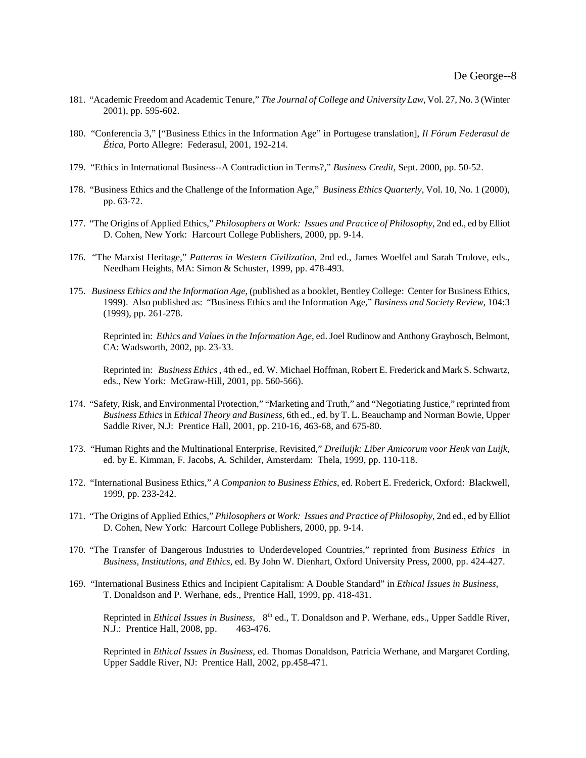- 181. "Academic Freedom and Academic Tenure," *The Journal of College and University Law*, Vol. 27, No. 3 (Winter 2001), pp. 595-602.
- 180. "Conferencia 3," ["Business Ethics in the Information Age" in Portugese translation], *Il Fórum Federasul de Ética*, Porto Allegre: Federasul, 2001, 192-214.
- 179. "Ethics in International Business--A Contradiction in Terms?," *Business Credit*, Sept. 2000, pp. 50-52.
- 178. "Business Ethics and the Challenge of the Information Age," *Business Ethics Quarterly*, Vol. 10, No. 1 (2000), pp. 63-72.
- 177. "The Origins of Applied Ethics," *Philosophers at Work: Issues and Practice of Philosophy*, 2nd ed., ed by Elliot D. Cohen, New York: Harcourt College Publishers, 2000, pp. 9-14.
- 176. "The Marxist Heritage," *Patterns in Western Civilization*, 2nd ed., James Woelfel and Sarah Trulove, eds., Needham Heights, MA: Simon & Schuster, 1999, pp. 478-493.
- 175. *Business Ethics and the Information Age*, (published as a booklet, Bentley College: Center for Business Ethics, 1999). Also published as: "Business Ethics and the Information Age," *Business and Society Review*, 104:3 (1999), pp. 261-278.

Reprinted in: *Ethics and Values in the Information Age*, ed. Joel Rudinow and Anthony Graybosch, Belmont, CA: Wadsworth, 2002, pp. 23-33.

Reprinted in: *Business Ethics*, 4th ed., ed. W. Michael Hoffman, Robert E. Frederick and Mark S. Schwartz, eds., New York: McGraw-Hill, 2001, pp. 560-566).

- 174. "Safety, Risk, and Environmental Protection," "Marketing and Truth," and "Negotiating Justice," reprinted from *Business Ethics* in *Ethical Theory and Business*, 6th ed., ed. by T. L. Beauchamp and Norman Bowie, Upper Saddle River, N.J: Prentice Hall, 2001, pp. 210-16, 463-68, and 675-80.
- 173. "Human Rights and the Multinational Enterprise, Revisited," *Dreiluijk: Liber Amicorum voor Henk van Luijk*, ed. by E. Kimman, F. Jacobs, A. Schilder, Amsterdam: Thela, 1999, pp. 110-118.
- 172. "International Business Ethics," *A Companion to Business Ethics*, ed. Robert E. Frederick, Oxford: Blackwell, 1999, pp. 233-242.
- 171. "The Origins of Applied Ethics," *Philosophers at Work: Issues and Practice of Philosophy*, 2nd ed., ed by Elliot D. Cohen, New York: Harcourt College Publishers, 2000, pp. 9-14.
- 170. "The Transfer of Dangerous Industries to Underdeveloped Countries," reprinted from *Business Ethics* in *Business, Institutions, and Ethics,* ed. By John W. Dienhart, Oxford University Press, 2000, pp. 424-427.
- 169. "International Business Ethics and Incipient Capitalism: A Double Standard" in *Ethical Issues in Business*, T. Donaldson and P. Werhane, eds., Prentice Hall, 1999, pp. 418-431.

Reprinted in *Ethical Issues in Business*, 8<sup>th</sup> ed., T. Donaldson and P. Werhane, eds., Upper Saddle River, N.J.: Prentice Hall, 2008, pp. 463-476.

Reprinted in *Ethical Issues in Business*, ed. Thomas Donaldson, Patricia Werhane, and Margaret Cording, Upper Saddle River, NJ: Prentice Hall, 2002, pp.458-471.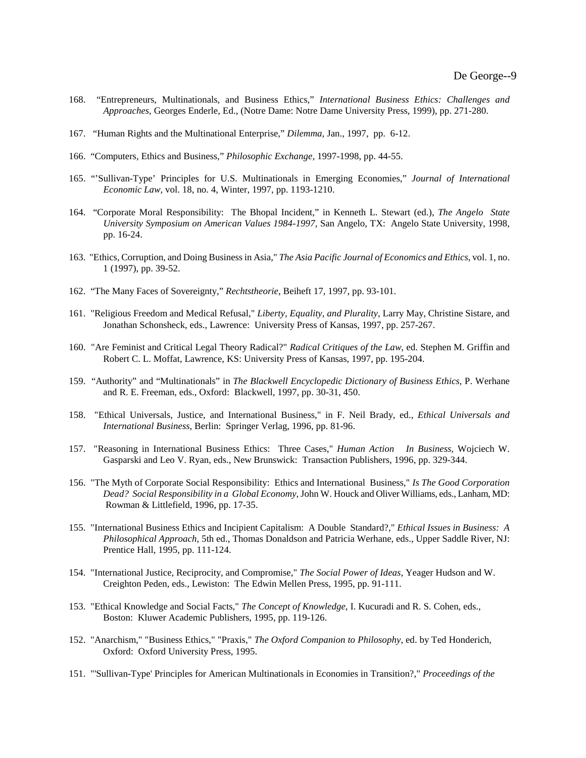- 168. "Entrepreneurs, Multinationals, and Business Ethics," *International Business Ethics: Challenges and Approaches,* Georges Enderle, Ed., (Notre Dame: Notre Dame University Press, 1999), pp. 271-280.
- 167. "Human Rights and the Multinational Enterprise," *Dilemma,* Jan., 1997, pp. 6-12.
- 166. "Computers, Ethics and Business," *Philosophic Exchange*, 1997-1998, pp. 44-55.
- 165. "'Sullivan-Type' Principles for U.S. Multinationals in Emerging Economies," *Journal of International Economic Law,* vol. 18, no. 4, Winter, 1997, pp. 1193-1210.
- 164. "Corporate Moral Responsibility: The Bhopal Incident," in Kenneth L. Stewart (ed.), *The Angelo State University Symposium on American Values 1984-1997*, San Angelo, TX: Angelo State University, 1998, pp. 16-24.
- 163. "Ethics, Corruption, and Doing Business in Asia," *The Asia Pacific Journal of Economics and Ethics*, vol. 1, no. 1 (1997), pp. 39-52.
- 162. "The Many Faces of Sovereignty," *Rechtstheorie*, Beiheft 17, 1997, pp. 93-101.
- 161. "Religious Freedom and Medical Refusal," *Liberty, Equality, and Plurality*, Larry May, Christine Sistare, and Jonathan Schonsheck, eds., Lawrence: University Press of Kansas, 1997, pp. 257-267.
- 160. "Are Feminist and Critical Legal Theory Radical?" *Radical Critiques of the Law*, ed. Stephen M. Griffin and Robert C. L. Moffat, Lawrence, KS: University Press of Kansas, 1997, pp. 195-204.
- 159. "Authority" and "Multinationals" in *The Blackwell Encyclopedic Dictionary of Business Ethics*, P. Werhane and R. E. Freeman, eds., Oxford: Blackwell, 1997, pp. 30-31, 450.
- 158. "Ethical Universals, Justice, and International Business," in F. Neil Brady, ed., *Ethical Universals and International Business*, Berlin: Springer Verlag, 1996, pp. 81-96.
- 157. "Reasoning in International Business Ethics: Three Cases," *Human Action In Business*, Wojciech W. Gasparski and Leo V. Ryan, eds., New Brunswick: Transaction Publishers, 1996, pp. 329-344.
- 156. "The Myth of Corporate Social Responsibility: Ethics and International Business," *Is The Good Corporation Dead? Social Responsibility in a Global Economy,* John W. Houck and Oliver Williams, eds., Lanham, MD: Rowman & Littlefield, 1996, pp. 17-35.
- 155. "International Business Ethics and Incipient Capitalism: A Double Standard?," *Ethical Issues in Business: A Philosophical Approach*, 5th ed., Thomas Donaldson and Patricia Werhane, eds., Upper Saddle River, NJ: Prentice Hall, 1995, pp. 111-124.
- 154. "International Justice, Reciprocity, and Compromise," *The Social Power of Ideas*, Yeager Hudson and W. Creighton Peden, eds., Lewiston: The Edwin Mellen Press, 1995, pp. 91-111.
- 153. "Ethical Knowledge and Social Facts," *The Concept of Knowledge*, I. Kucuradi and R. S. Cohen, eds., Boston: Kluwer Academic Publishers, 1995, pp. 119-126.
- 152. "Anarchism," "Business Ethics," "Praxis," *The Oxford Companion to Philosophy*, ed. by Ted Honderich, Oxford: Oxford University Press, 1995.
- 151. "'Sullivan-Type' Principles for American Multinationals in Economies in Transition?," *Proceedings of the*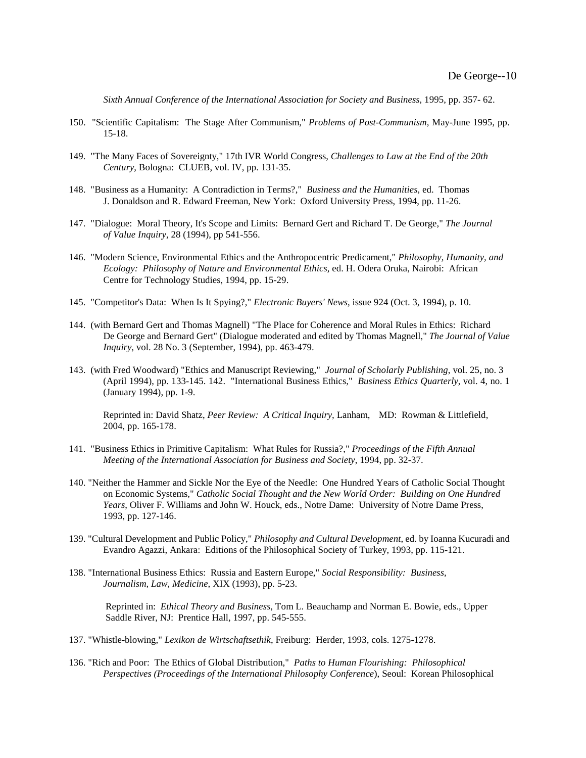*Sixth Annual Conference of the International Association for Society and Business*, 1995, pp. 357- 62.

- 150. "Scientific Capitalism: The Stage After Communism," *Problems of Post-Communism,* May-June 1995, pp. 15-18.
- 149. "The Many Faces of Sovereignty," 17th IVR World Congress, *Challenges to Law at the End of the 20th Century*, Bologna: CLUEB, vol. IV, pp. 131-35.
- 148. "Business as a Humanity: A Contradiction in Terms?," *Business and the Humanities*, ed. Thomas J. Donaldson and R. Edward Freeman, New York: Oxford University Press, 1994, pp. 11-26.
- 147. "Dialogue: Moral Theory, It's Scope and Limits: Bernard Gert and Richard T. De George," *The Journal of Value Inquiry*, 28 (1994), pp 541-556.
- 146. "Modern Science, Environmental Ethics and the Anthropocentric Predicament," *Philosophy, Humanity, and Ecology: Philosophy of Nature and Environmental Ethics*, ed. H. Odera Oruka, Nairobi: African Centre for Technology Studies, 1994, pp. 15-29.
- 145. "Competitor's Data: When Is It Spying?," *Electronic Buyers' News*, issue 924 (Oct. 3, 1994), p. 10.
- 144. (with Bernard Gert and Thomas Magnell) "The Place for Coherence and Moral Rules in Ethics: Richard De George and Bernard Gert" (Dialogue moderated and edited by Thomas Magnell," *The Journal of Value Inquiry*, vol. 28 No. 3 (September, 1994), pp. 463-479.
- 143. (with Fred Woodward) "Ethics and Manuscript Reviewing," *Journal of Scholarly Publishing*, vol. 25, no. 3 (April 1994), pp. 133-145. 142. "International Business Ethics," *Business Ethics Quarterly*, vol. 4, no. 1 (January 1994), pp. 1-9.

Reprinted in: David Shatz, *Peer Review: A Critical Inquiry,* Lanham, MD: Rowman & Littlefield, 2004, pp. 165-178.

- 141. "Business Ethics in Primitive Capitalism: What Rules for Russia?," *Proceedings of the Fifth Annual Meeting of the International Association for Business and Society*, 1994, pp. 32-37.
- 140. "Neither the Hammer and Sickle Nor the Eye of the Needle: One Hundred Years of Catholic Social Thought on Economic Systems," *Catholic Social Thought and the New World Order: Building on One Hundred Years*, Oliver F. Williams and John W. Houck, eds., Notre Dame: University of Notre Dame Press, 1993, pp. 127-146.
- 139. "Cultural Development and Public Policy," *Philosophy and Cultural Development*, ed. by Ioanna Kucuradi and Evandro Agazzi, Ankara: Editions of the Philosophical Society of Turkey, 1993, pp. 115-121.
- 138. "International Business Ethics: Russia and Eastern Europe," *Social Responsibility: Business, Journalism, Law, Medicine*, XIX (1993), pp. 5-23.

Reprinted in: *Ethical Theory and Business*, Tom L. Beauchamp and Norman E. Bowie, eds., Upper Saddle River, NJ: Prentice Hall, 1997, pp. 545-555.

- 137. "Whistle-blowing," *Lexikon de Wirtschaftsethik*, Freiburg: Herder, 1993, cols. 1275-1278.
- 136. "Rich and Poor: The Ethics of Global Distribution," *Paths to Human Flourishing: Philosophical Perspectives (Proceedings of the International Philosophy Conference*), Seoul: Korean Philosophical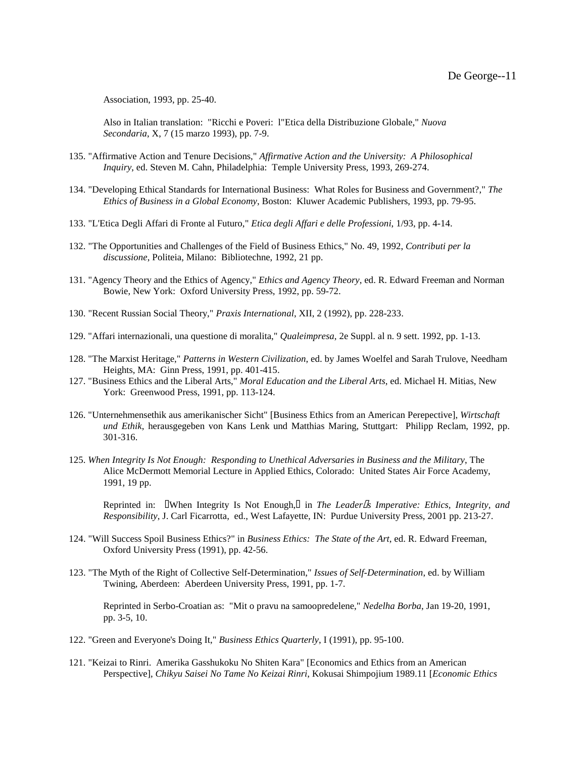Association, 1993, pp. 25-40.

Also in Italian translation: "Ricchi e Poveri: l"Etica della Distribuzione Globale," *Nuova Secondaria*, X, 7 (15 marzo 1993), pp. 7-9.

- 135. "Affirmative Action and Tenure Decisions," *Affirmative Action and the University: A Philosophical Inquiry*, ed. Steven M. Cahn, Philadelphia: Temple University Press, 1993, 269-274.
- 134. "Developing Ethical Standards for International Business: What Roles for Business and Government?," *The Ethics of Business in a Global Economy*, Boston: Kluwer Academic Publishers, 1993, pp. 79-95.
- 133. "L'Etica Degli Affari di Fronte al Futuro," *Etica degli Affari e delle Professioni*, 1/93, pp. 4-14.
- 132. "The Opportunities and Challenges of the Field of Business Ethics," No. 49, 1992, *Contributi per la discussione*, Politeia, Milano: Bibliotechne, 1992, 21 pp.
- 131. "Agency Theory and the Ethics of Agency," *Ethics and Agency Theory*, ed. R. Edward Freeman and Norman Bowie, New York: Oxford University Press, 1992, pp. 59-72.
- 130. "Recent Russian Social Theory," *Praxis International*, XII, 2 (1992), pp. 228-233.
- 129. "Affari internazionali, una questione di moralita," *Qualeimpresa*, 2e Suppl. al n. 9 sett. 1992, pp. 1-13.
- 128. "The Marxist Heritage," *Patterns in Western Civilization*, ed. by James Woelfel and Sarah Trulove, Needham Heights, MA: Ginn Press, 1991, pp. 401-415.
- 127. "Business Ethics and the Liberal Arts," *Moral Education and the Liberal Arts*, ed. Michael H. Mitias, New York: Greenwood Press, 1991, pp. 113-124.
- 126. "Unternehmensethik aus amerikanischer Sicht" [Business Ethics from an American Perepective], *Wirtschaft und Ethik*, herausgegeben von Kans Lenk und Matthias Maring, Stuttgart: Philipp Reclam, 1992, pp. 301-316.
- 125. *When Integrity Is Not Enough: Responding to Unethical Adversaries in Business and the Military*, The Alice McDermott Memorial Lecture in Applied Ethics, Colorado: United States Air Force Academy, 1991, 19 pp.

Reprinted in: UWhen Integrity Is Not Enough, I in *The Leader<sup>Iff</sup>s Imperative: Ethics, Integrity, and Responsibility*, J. Carl Ficarrotta, ed., West Lafayette, IN: Purdue University Press, 2001 pp. 213-27.

- 124. "Will Success Spoil Business Ethics?" in *Business Ethics: The State of the Art*, ed. R. Edward Freeman, Oxford University Press (1991), pp. 42-56.
- 123. "The Myth of the Right of Collective Self-Determination," *Issues of Self-Determination*, ed. by William Twining, Aberdeen: Aberdeen University Press, 1991, pp. 1-7.

Reprinted in Serbo-Croatian as: "Mit o pravu na samoopredelene," *Nedelha Borba*, Jan 19-20, 1991, pp. 3-5, 10.

- 122. "Green and Everyone's Doing It," *Business Ethics Quarterly*, I (1991), pp. 95-100.
- 121. "Keizai to Rinri. Amerika Gasshukoku No Shiten Kara" [Economics and Ethics from an American Perspective], *Chikyu Saisei No Tame No Keizai Rinri*, Kokusai Shimpojium 1989.11 [*Economic Ethics*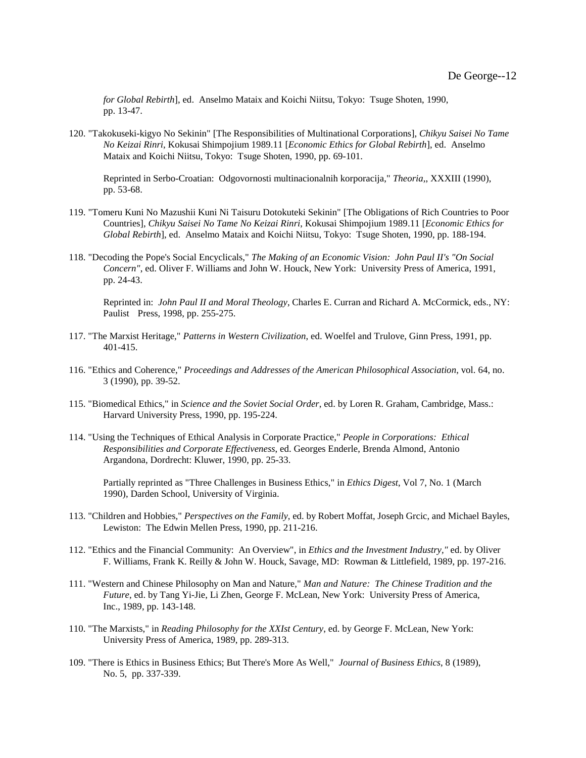*for Global Rebirth*], ed. Anselmo Mataix and Koichi Niitsu, Tokyo: Tsuge Shoten, 1990, pp. 13-47.

120. "Takokuseki-kigyo No Sekinin" [The Responsibilities of Multinational Corporations], *Chikyu Saisei No Tame No Keizai Rinri*, Kokusai Shimpojium 1989.11 [*Economic Ethics for Global Rebirth*], ed. Anselmo Mataix and Koichi Niitsu, Tokyo: Tsuge Shoten, 1990, pp. 69-101.

Reprinted in Serbo-Croatian: Odgovornosti multinacionalnih korporacija," *Theoria,*, XXXIII (1990), pp. 53-68.

- 119. "Tomeru Kuni No Mazushii Kuni Ni Taisuru Dotokuteki Sekinin" [The Obligations of Rich Countries to Poor Countries], *Chikyu Saisei No Tame No Keizai Rinri*, Kokusai Shimpojium 1989.11 [*Economic Ethics for Global Rebirth*], ed. Anselmo Mataix and Koichi Niitsu, Tokyo: Tsuge Shoten, 1990, pp. 188-194.
- 118. "Decoding the Pope's Social Encyclicals," *The Making of an Economic Vision: John Paul II's "On Social Concern"*, ed. Oliver F. Williams and John W. Houck, New York: University Press of America, 1991, pp. 24-43.

Reprinted in: *John Paul II and Moral Theology*, Charles E. Curran and Richard A. McCormick, eds., NY: Paulist Press, 1998, pp. 255-275.

- 117. "The Marxist Heritage," *Patterns in Western Civilization*, ed. Woelfel and Trulove, Ginn Press, 1991, pp. 401-415.
- 116. "Ethics and Coherence," *Proceedings and Addresses of the American Philosophical Association*, vol. 64, no. 3 (1990), pp. 39-52.
- 115. "Biomedical Ethics," in *Science and the Soviet Social Order*, ed. by Loren R. Graham, Cambridge, Mass.: Harvard University Press, 1990, pp. 195-224.
- 114. "Using the Techniques of Ethical Analysis in Corporate Practice," *People in Corporations: Ethical Responsibilities and Corporate Effectiveness*, ed. Georges Enderle, Brenda Almond, Antonio Argandona, Dordrecht: Kluwer, 1990, pp. 25-33.

Partially reprinted as "Three Challenges in Business Ethics," in *Ethics Digest*, Vol 7, No. 1 (March 1990), Darden School, University of Virginia.

- 113. "Children and Hobbies," *Perspectives on the Family*, ed. by Robert Moffat, Joseph Grcic, and Michael Bayles, Lewiston: The Edwin Mellen Press, 1990, pp. 211-216.
- 112. "Ethics and the Financial Community: An Overview", in *Ethics and the Investment Industry,"* ed. by Oliver F. Williams, Frank K. Reilly & John W. Houck, Savage, MD: Rowman & Littlefield, 1989, pp. 197-216.
- 111. "Western and Chinese Philosophy on Man and Nature," *Man and Nature: The Chinese Tradition and the Future*, ed. by Tang Yi-Jie, Li Zhen, George F. McLean, New York: University Press of America, Inc., 1989, pp. 143-148.
- 110. "The Marxists," in *Reading Philosophy for the XXIst Century*, ed. by George F. McLean, New York: University Press of America, 1989, pp. 289-313.
- 109. "There is Ethics in Business Ethics; But There's More As Well," *Journal of Business Ethics*, 8 (1989), No. 5, pp. 337-339.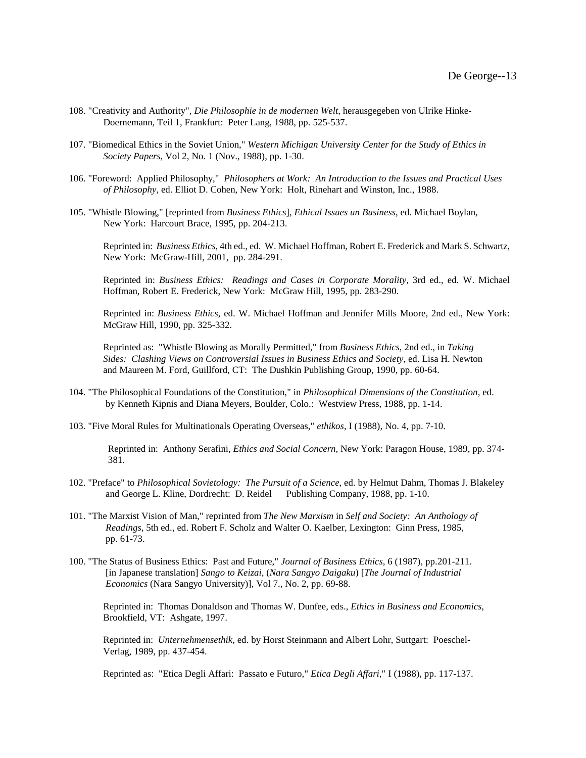- 108. "Creativity and Authority", *Die Philosophie in de modernen Welt*, herausgegeben von Ulrike Hinke-Doernemann, Teil 1, Frankfurt: Peter Lang, 1988, pp. 525-537.
- 107. "Biomedical Ethics in the Soviet Union," *Western Michigan University Center for the Study of Ethics in Society Papers*, Vol 2, No. 1 (Nov., 1988), pp. 1-30.
- 106. "Foreword: Applied Philosophy," *Philosophers at Work: An Introduction to the Issues and Practical Uses of Philosophy*, ed. Elliot D. Cohen, New York: Holt, Rinehart and Winston, Inc., 1988.
- 105. "Whistle Blowing," [reprinted from *Business Ethics*], *Ethical Issues un Business*, ed. Michael Boylan, New York: Harcourt Brace, 1995, pp. 204-213.

Reprinted in: *Business Ethics*, 4th ed., ed. W. Michael Hoffman, Robert E. Frederick and Mark S. Schwartz, New York: McGraw-Hill, 2001, pp. 284-291.

Reprinted in: *Business Ethics: Readings and Cases in Corporate Morality*, 3rd ed., ed. W. Michael Hoffman, Robert E. Frederick, New York: McGraw Hill, 1995, pp. 283-290.

Reprinted in: *Business Ethics*, ed. W. Michael Hoffman and Jennifer Mills Moore, 2nd ed., New York: McGraw Hill, 1990, pp. 325-332.

Reprinted as: "Whistle Blowing as Morally Permitted," from *Business Ethics*, 2nd ed., in *Taking Sides: Clashing Views on Controversial Issues in Business Ethics and Society*, ed. Lisa H. Newton and Maureen M. Ford, Guillford, CT: The Dushkin Publishing Group, 1990, pp. 60-64.

- 104. "The Philosophical Foundations of the Constitution," in *Philosophical Dimensions of the Constitution*, ed. by Kenneth Kipnis and Diana Meyers, Boulder, Colo.: Westview Press, 1988, pp. 1-14.
- 103. "Five Moral Rules for Multinationals Operating Overseas," *ethikos*, I (1988), No. 4, pp. 7-10.

 Reprinted in: Anthony Serafini, *Ethics and Social Concern*, New York: Paragon House, 1989, pp. 374- 381.

- 102. "Preface" to *Philosophical Sovietology: The Pursuit of a Science*, ed. by Helmut Dahm, Thomas J. Blakeley and George L. Kline, Dordrecht: D. Reidel Publishing Company, 1988, pp. 1-10.
- 101. "The Marxist Vision of Man," reprinted from *The New Marxism* in *Self and Society: An Anthology of Readings*, 5th ed., ed. Robert F. Scholz and Walter O. Kaelber, Lexington: Ginn Press, 1985, pp. 61-73.
- 100. "The Status of Business Ethics: Past and Future," *Journal of Business Ethics*, 6 (1987), pp.201-211. [in Japanese translation] *Sango to Keizai*, (*Nara Sangyo Daigaku*) [*The Journal of Industrial Economics* (Nara Sangyo University)], Vol 7., No. 2, pp. 69-88.

Reprinted in: Thomas Donaldson and Thomas W. Dunfee, eds., *Ethics in Business and Economics*, Brookfield, VT: Ashgate, 1997.

Reprinted in: *Unternehmensethik*, ed. by Horst Steinmann and Albert Lohr, Suttgart: Poeschel-Verlag, 1989, pp. 437-454.

Reprinted as: "Etica Degli Affari: Passato e Futuro," *Etica Degli Affari*," I (1988), pp. 117-137.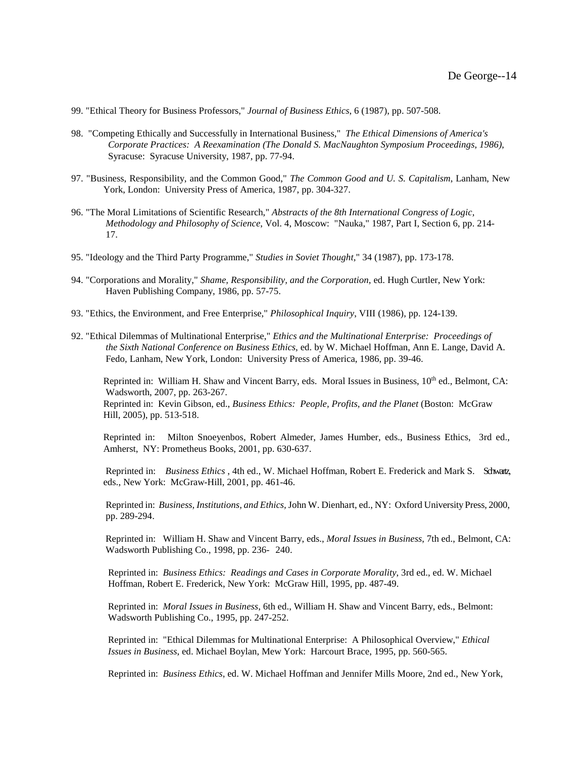- 99. "Ethical Theory for Business Professors," *Journal of Business Ethics*, 6 (1987), pp. 507-508.
- 98. "Competing Ethically and Successfully in International Business," *The Ethical Dimensions of America's Corporate Practices: A Reexamination (The Donald S. MacNaughton Symposium Proceedings, 1986)*, Syracuse: Syracuse University, 1987, pp. 77-94.
- 97. "Business, Responsibility, and the Common Good," *The Common Good and U. S. Capitalism*, Lanham, New York, London: University Press of America, 1987, pp. 304-327.
- 96. "The Moral Limitations of Scientific Research," *Abstracts of the 8th International Congress of Logic, Methodology and Philosophy of Science*, Vol. 4, Moscow: "Nauka," 1987, Part I, Section 6, pp. 214- 17.
- 95. "Ideology and the Third Party Programme," *Studies in Soviet Thought*," 34 (1987), pp. 173-178.
- 94. "Corporations and Morality," *Shame, Responsibility, and the Corporation*, ed. Hugh Curtler, New York: Haven Publishing Company, 1986, pp. 57-75.
- 93. "Ethics, the Environment, and Free Enterprise," *Philosophical Inquiry*, VIII (1986), pp. 124-139.
- 92. "Ethical Dilemmas of Multinational Enterprise," *Ethics and the Multinational Enterprise: Proceedings of the Sixth National Conference on Business Ethics*, ed. by W. Michael Hoffman, Ann E. Lange, David A. Fedo, Lanham, New York, London: University Press of America, 1986, pp. 39-46.

Reprinted in: William H. Shaw and Vincent Barry, eds. Moral Issues in Business,  $10<sup>th</sup>$  ed., Belmont, CA: Wadsworth, 2007, pp. 263-267.

Reprinted in: Kevin Gibson, ed., *Business Ethics: People, Profits, and the Planet* (Boston: McGraw Hill, 2005), pp. 513-518.

Reprinted in: Milton Snoeyenbos, Robert Almeder, James Humber, eds., Business Ethics, 3rd ed., Amherst, NY: Prometheus Books, 2001, pp. 630-637.

Reprinted in: *Business Ethics* , 4th ed., W. Michael Hoffman, Robert E. Frederick and Mark S. Schwartz, eds., New York: McGraw-Hill, 2001, pp. 461-46.

Reprinted in: *Business, Institutions, and Ethics,* John W. Dienhart, ed., NY: Oxford University Press, 2000, pp. 289-294.

Reprinted in: William H. Shaw and Vincent Barry, eds., *Moral Issues in Business*, 7th ed., Belmont, CA: Wadsworth Publishing Co., 1998, pp. 236- 240.

 Reprinted in: *Business Ethics: Readings and Cases in Corporate Morality*, 3rd ed., ed. W. Michael Hoffman, Robert E. Frederick, New York: McGraw Hill, 1995, pp. 487-49.

 Reprinted in: *Moral Issues in Business*, 6th ed., William H. Shaw and Vincent Barry, eds., Belmont: Wadsworth Publishing Co., 1995, pp. 247-252.

 Reprinted in: "Ethical Dilemmas for Multinational Enterprise: A Philosophical Overview," *Ethical Issues in Business*, ed. Michael Boylan, Mew York: Harcourt Brace, 1995, pp. 560-565.

Reprinted in: *Business Ethics*, ed. W. Michael Hoffman and Jennifer Mills Moore, 2nd ed., New York,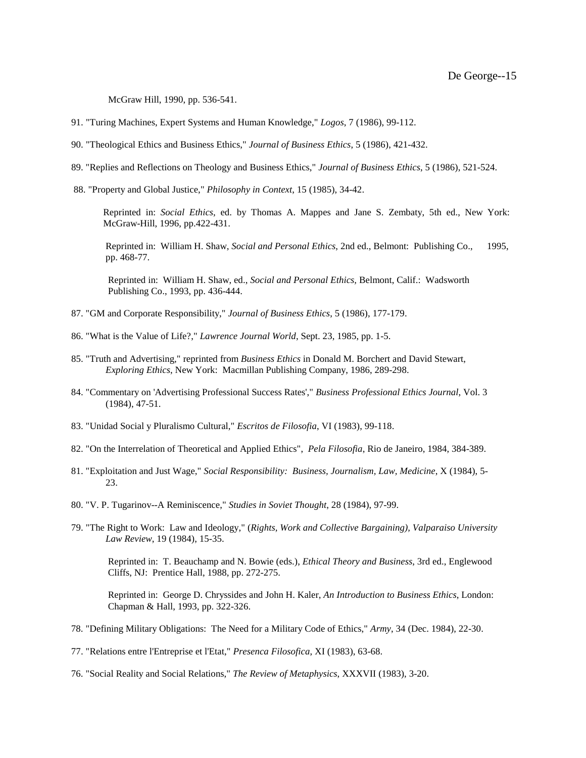McGraw Hill, 1990, pp. 536-541.

- 91. "Turing Machines, Expert Systems and Human Knowledge," *Logos*, 7 (1986), 99-112.
- 90. "Theological Ethics and Business Ethics," *Journal of Business Ethics*, 5 (1986), 421-432.
- 89. "Replies and Reflections on Theology and Business Ethics," *Journal of Business Ethics*, 5 (1986), 521-524.
- 88. "Property and Global Justice," *Philosophy in Context*, 15 (1985), 34-42.

Reprinted in: *Social Ethics*, ed. by Thomas A. Mappes and Jane S. Zembaty, 5th ed., New York: McGraw-Hill, 1996, pp.422-431.

Reprinted in: William H. Shaw, *Social and Personal Ethics*, 2nd ed., Belmont: Publishing Co., 1995, pp. 468-77.

 Reprinted in: William H. Shaw, ed., *Social and Personal Ethics,* Belmont, Calif.: Wadsworth Publishing Co., 1993, pp. 436-444.

- 87. "GM and Corporate Responsibility," *Journal of Business Ethics*, 5 (1986), 177-179.
- 86. "What is the Value of Life?," *Lawrence Journal World*, Sept. 23, 1985, pp. 1-5.
- 85. "Truth and Advertising," reprinted from *Business Ethics* in Donald M. Borchert and David Stewart, *Exploring Ethics*, New York: Macmillan Publishing Company, 1986, 289-298.
- 84. "Commentary on 'Advertising Professional Success Rates'," *Business Professional Ethics Journal*, Vol. 3 (1984), 47-51.
- 83. "Unidad Social y Pluralismo Cultural," *Escritos de Filosofia*, VI (1983), 99-118.
- 82. "On the Interrelation of Theoretical and Applied Ethics", *Pela Filosofia*, Rio de Janeiro, 1984, 384-389.
- 81. "Exploitation and Just Wage," *Social Responsibility: Business, Journalism, Law, Medicine*, X (1984), 5- 23.
- 80. "V. P. Tugarinov--A Reminiscence," *Studies in Soviet Thought*, 28 (1984), 97-99.
- 79. "The Right to Work: Law and Ideology," (*Rights, Work and Collective Bargaining), Valparaiso University Law Review*, 19 (1984), 15-35.

 Reprinted in: T. Beauchamp and N. Bowie (eds.), *Ethical Theory and Business*, 3rd ed., Englewood Cliffs, NJ: Prentice Hall, 1988, pp. 272-275.

 Reprinted in: George D. Chryssides and John H. Kaler, *An Introduction to Business Ethics*, London: Chapman & Hall, 1993, pp. 322-326.

- 78. "Defining Military Obligations: The Need for a Military Code of Ethics," *Army*, 34 (Dec. 1984), 22-30.
- 77. "Relations entre l'Entreprise et l'Etat," *Presenca Filosofica*, XI (1983), 63-68.
- 76. "Social Reality and Social Relations," *The Review of Metaphysics*, XXXVII (1983), 3-20.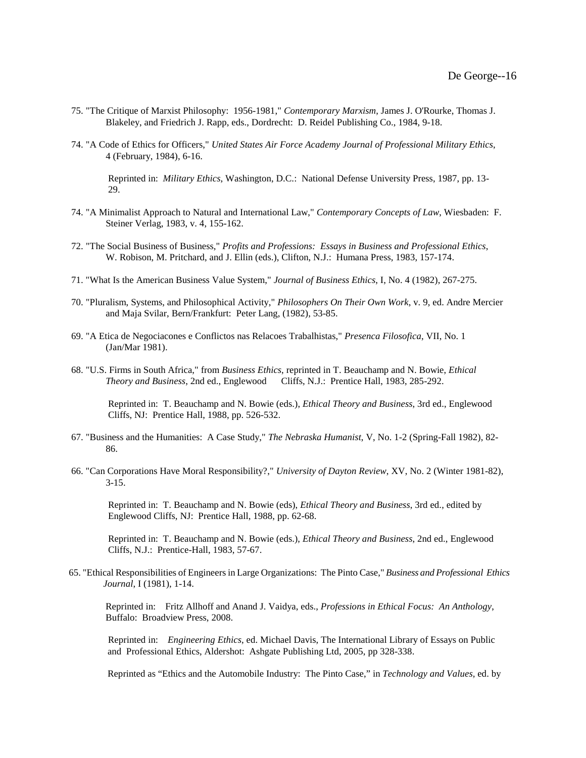- 75. "The Critique of Marxist Philosophy: 1956-1981," *Contemporary Marxism*, James J. O'Rourke, Thomas J. Blakeley, and Friedrich J. Rapp, eds., Dordrecht: D. Reidel Publishing Co., 1984, 9-18.
- 74. "A Code of Ethics for Officers," *United States Air Force Academy Journal of Professional Military Ethics*, 4 (February, 1984), 6-16.

 Reprinted in: *Military Ethics*, Washington, D.C.: National Defense University Press, 1987, pp. 13- 29.

- 74. "A Minimalist Approach to Natural and International Law," *Contemporary Concepts of Law*, Wiesbaden: F. Steiner Verlag, 1983, v. 4, 155-162.
- 72. "The Social Business of Business," *Profits and Professions: Essays in Business and Professional Ethics*, W. Robison, M. Pritchard, and J. Ellin (eds.), Clifton, N.J.: Humana Press, 1983, 157-174.
- 71. "What Is the American Business Value System," *Journal of Business Ethics*, I, No. 4 (1982), 267-275.
- 70. "Pluralism, Systems, and Philosophical Activity," *Philosophers On Their Own Work*, v. 9, ed. Andre Mercier and Maja Svilar, Bern/Frankfurt: Peter Lang, (1982), 53-85.
- 69. "A Etica de Negociacones e Conflictos nas Relacoes Trabalhistas," *Presenca Filosofica*, VII, No. 1 (Jan/Mar 1981).
- 68. "U.S. Firms in South Africa," from *Business Ethics*, reprinted in T. Beauchamp and N. Bowie, *Ethical Theory and Business*, 2nd ed., Englewood Cliffs, N.J.: Prentice Hall, 1983, 285-292.

 Reprinted in: T. Beauchamp and N. Bowie (eds.), *Ethical Theory and Business*, 3rd ed., Englewood Cliffs, NJ: Prentice Hall, 1988, pp. 526-532.

- 67. "Business and the Humanities: A Case Study," *The Nebraska Humanist*, V, No. 1-2 (Spring-Fall 1982), 82- 86.
- 66. "Can Corporations Have Moral Responsibility?," *University of Dayton Review*, XV, No. 2 (Winter 1981-82), 3-15.

 Reprinted in: T. Beauchamp and N. Bowie (eds), *Ethical Theory and Business*, 3rd ed., edited by Englewood Cliffs, NJ: Prentice Hall, 1988, pp. 62-68.

 Reprinted in: T. Beauchamp and N. Bowie (eds.), *Ethical Theory and Business*, 2nd ed., Englewood Cliffs, N.J.: Prentice-Hall, 1983, 57-67.

65. "Ethical Responsibilities of Engineers in Large Organizations: The Pinto Case," *Business and Professional Ethics Journal*, I (1981), 1-14.

Reprinted in: Fritz Allhoff and Anand J. Vaidya, eds., *Professions in Ethical Focus: An Anthology*, Buffalo: Broadview Press, 2008.

 Reprinted in: *Engineering Ethics*, ed. Michael Davis, The International Library of Essays on Public and Professional Ethics, Aldershot: Ashgate Publishing Ltd, 2005, pp 328-338.

Reprinted as "Ethics and the Automobile Industry: The Pinto Case," in *Technology and Values,* ed. by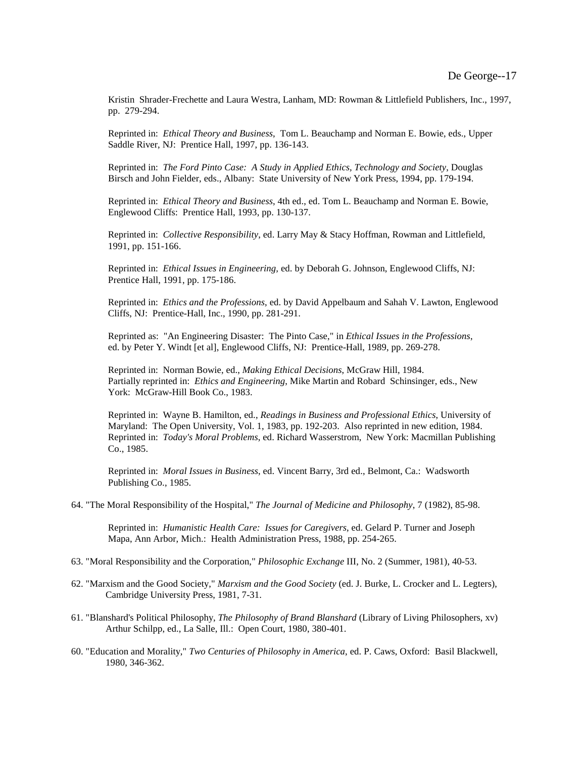Kristin Shrader-Frechette and Laura Westra, Lanham, MD: Rowman & Littlefield Publishers, Inc., 1997, pp. 279-294.

 Reprinted in: *Ethical Theory and Business*, Tom L. Beauchamp and Norman E. Bowie, eds., Upper Saddle River, NJ: Prentice Hall, 1997, pp. 136-143.

 Reprinted in: *The Ford Pinto Case: A Study in Applied Ethics, Technology and Society*, Douglas Birsch and John Fielder, eds., Albany: State University of New York Press, 1994, pp. 179-194.

 Reprinted in: *Ethical Theory and Business*, 4th ed., ed. Tom L. Beauchamp and Norman E. Bowie, Englewood Cliffs: Prentice Hall, 1993, pp. 130-137.

 Reprinted in: *Collective Responsibility*, ed. Larry May & Stacy Hoffman, Rowman and Littlefield, 1991, pp. 151-166.

 Reprinted in: *Ethical Issues in Engineering,* ed. by Deborah G. Johnson, Englewood Cliffs, NJ: Prentice Hall, 1991, pp. 175-186.

 Reprinted in: *Ethics and the Professions*, ed. by David Appelbaum and Sahah V. Lawton, Englewood Cliffs, NJ: Prentice-Hall, Inc., 1990, pp. 281-291.

 Reprinted as: "An Engineering Disaster: The Pinto Case," in *Ethical Issues in the Professions*, ed. by Peter Y. Windt [et al], Englewood Cliffs, NJ: Prentice-Hall, 1989, pp. 269-278.

 Reprinted in: Norman Bowie, ed., *Making Ethical Decisions*, McGraw Hill, 1984. Partially reprinted in: *Ethics and Engineering*, Mike Martin and Robard Schinsinger, eds., New York: McGraw-Hill Book Co., 1983.

 Reprinted in: Wayne B. Hamilton, ed., *Readings in Business and Professional Ethics*, University of Maryland: The Open University, Vol. 1, 1983, pp. 192-203. Also reprinted in new edition, 1984. Reprinted in: *Today's Moral Problems*, ed. Richard Wasserstrom, New York: Macmillan Publishing Co., 1985.

 Reprinted in: *Moral Issues in Business*, ed. Vincent Barry, 3rd ed., Belmont, Ca.: Wadsworth Publishing Co., 1985.

64. "The Moral Responsibility of the Hospital," *The Journal of Medicine and Philosophy*, 7 (1982), 85-98.

 Reprinted in: *Humanistic Health Care: Issues for Caregivers*, ed. Gelard P. Turner and Joseph Mapa, Ann Arbor, Mich.: Health Administration Press, 1988, pp. 254-265.

- 63. "Moral Responsibility and the Corporation," *Philosophic Exchange* III, No. 2 (Summer, 1981), 40-53.
- 62. "Marxism and the Good Society," *Marxism and the Good Society* (ed. J. Burke, L. Crocker and L. Legters), Cambridge University Press, 1981, 7-31.
- 61. "Blanshard's Political Philosophy, *The Philosophy of Brand Blanshard* (Library of Living Philosophers, xv) Arthur Schilpp, ed., La Salle, Ill.: Open Court, 1980, 380-401.
- 60. "Education and Morality," *Two Centuries of Philosophy in America*, ed. P. Caws, Oxford: Basil Blackwell, 1980, 346-362.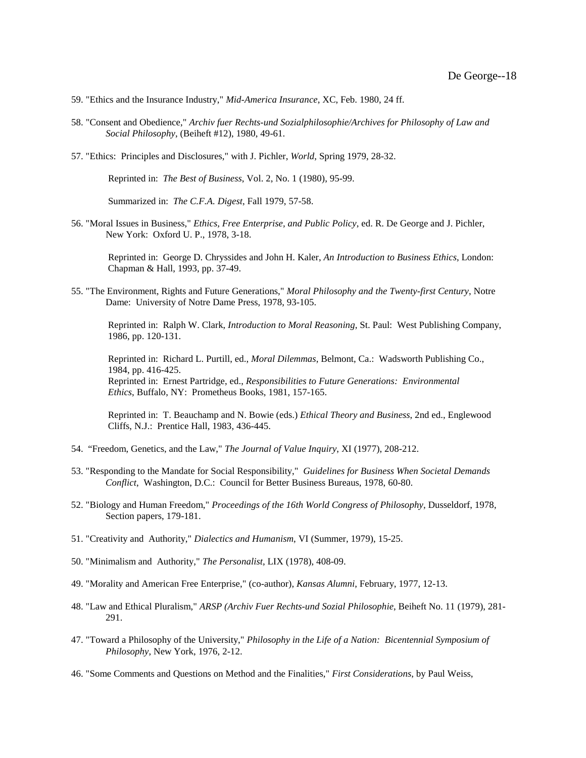- 59. "Ethics and the Insurance Industry," *Mid-America Insurance*, XC, Feb. 1980, 24 ff.
- 58. "Consent and Obedience," *Archiv fuer Rechts-und Sozialphilosophie/Archives for Philosophy of Law and Social Philosophy*, (Beiheft #12), 1980, 49-61.
- 57. "Ethics: Principles and Disclosures," with J. Pichler, *World*, Spring 1979, 28-32.

Reprinted in: *The Best of Business*, Vol. 2, No. 1 (1980), 95-99.

Summarized in: *The C.F.A. Digest*, Fall 1979, 57-58.

56. "Moral Issues in Business," *Ethics, Free Enterprise, and Public Policy*, ed. R. De George and J. Pichler, New York: Oxford U. P., 1978, 3-18.

 Reprinted in: George D. Chryssides and John H. Kaler, *An Introduction to Business Ethics*, London: Chapman & Hall, 1993, pp. 37-49.

55. "The Environment, Rights and Future Generations," *Moral Philosophy and the Twenty-first Century*, Notre Dame: University of Notre Dame Press, 1978, 93-105.

 Reprinted in: Ralph W. Clark, *Introduction to Moral Reasoning*, St. Paul: West Publishing Company, 1986, pp. 120-131.

 Reprinted in: Richard L. Purtill, ed., *Moral Dilemmas*, Belmont, Ca.: Wadsworth Publishing Co., 1984, pp. 416-425. Reprinted in: Ernest Partridge, ed., *Responsibilities to Future Generations: Environmental Ethics*, Buffalo, NY: Prometheus Books, 1981, 157-165.

 Reprinted in: T. Beauchamp and N. Bowie (eds.) *Ethical Theory and Business*, 2nd ed., Englewood Cliffs, N.J.: Prentice Hall, 1983, 436-445.

- 54. "Freedom, Genetics, and the Law," *The Journal of Value Inquiry*, XI (1977), 208-212.
- 53. "Responding to the Mandate for Social Responsibility," *Guidelines for Business When Societal Demands Conflict*, Washington, D.C.: Council for Better Business Bureaus, 1978, 60-80.
- 52. "Biology and Human Freedom," *Proceedings of the 16th World Congress of Philosophy*, Dusseldorf, 1978, Section papers, 179-181.
- 51. "Creativity and Authority," *Dialectics and Humanism*, VI (Summer, 1979), 15-25.
- 50. "Minimalism and Authority," *The Personalist*, LIX (1978), 408-09.
- 49. "Morality and American Free Enterprise," (co-author), *Kansas Alumni*, February, 1977, 12-13.
- 48. "Law and Ethical Pluralism," *ARSP (Archiv Fuer Rechts-und Sozial Philosophie*, Beiheft No. 11 (1979), 281- 291.
- 47. "Toward a Philosophy of the University," *Philosophy in the Life of a Nation: Bicentennial Symposium of Philosophy*, New York, 1976, 2-12.
- 46. "Some Comments and Questions on Method and the Finalities," *First Considerations*, by Paul Weiss,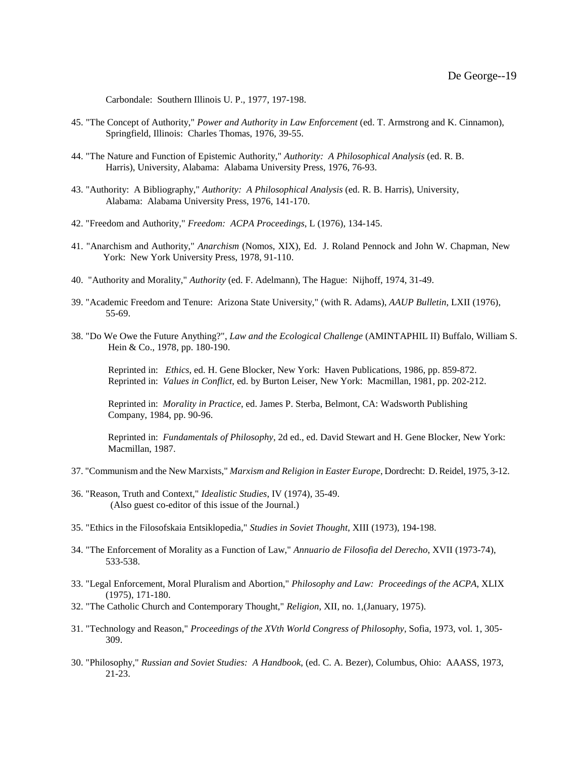Carbondale: Southern Illinois U. P., 1977, 197-198.

- 45. "The Concept of Authority," *Power and Authority in Law Enforcement* (ed. T. Armstrong and K. Cinnamon), Springfield, Illinois: Charles Thomas, 1976, 39-55.
- 44. "The Nature and Function of Epistemic Authority," *Authority: A Philosophical Analysis* (ed. R. B. Harris), University, Alabama: Alabama University Press, 1976, 76-93.
- 43. "Authority: A Bibliography," *Authority: A Philosophical Analysis* (ed. R. B. Harris), University, Alabama: Alabama University Press, 1976, 141-170.
- 42. "Freedom and Authority," *Freedom: ACPA Proceedings*, L (1976), 134-145.
- 41. "Anarchism and Authority," *Anarchism* (Nomos, XIX), Ed. J. Roland Pennock and John W. Chapman, New York: New York University Press, 1978, 91-110.
- 40. "Authority and Morality," *Authority* (ed. F. Adelmann), The Hague: Nijhoff, 1974, 31-49.
- 39. "Academic Freedom and Tenure: Arizona State University," (with R. Adams), *AAUP Bulletin*, LXII (1976), 55-69.
- 38. "Do We Owe the Future Anything?", *Law and the Ecological Challenge* (AMINTAPHIL II) Buffalo, William S. Hein & Co., 1978, pp. 180-190.

 Reprinted in: *Ethics*, ed. H. Gene Blocker, New York: Haven Publications, 1986, pp. 859-872. Reprinted in: *Values in Conflict*, ed. by Burton Leiser, New York: Macmillan, 1981, pp. 202-212.

 Reprinted in: *Morality in Practice*, ed. James P. Sterba, Belmont, CA: Wadsworth Publishing Company, 1984, pp. 90-96.

 Reprinted in: *Fundamentals of Philosophy*, 2d ed., ed. David Stewart and H. Gene Blocker, New York: Macmillan, 1987.

- 37. "Communism and the New Marxists," *Marxism and Religion in Easter Europe*, Dordrecht: D. Reidel, 1975, 3-12.
- 36. "Reason, Truth and Context," *Idealistic Studies*, IV (1974), 35-49. (Also guest co-editor of this issue of the Journal.)
- 35. "Ethics in the Filosofskaia Entsiklopedia," *Studies in Soviet Thought*, XIII (1973), 194-198.
- 34. "The Enforcement of Morality as a Function of Law," *Annuario de Filosofia del Derecho*, XVII (1973-74), 533-538.
- 33. "Legal Enforcement, Moral Pluralism and Abortion," *Philosophy and Law: Proceedings of the ACPA*, XLIX (1975), 171-180.
- 32. "The Catholic Church and Contemporary Thought," *Religion*, XII, no. 1,(January, 1975).
- 31. "Technology and Reason," *Proceedings of the XVth World Congress of Philosophy*, Sofia, 1973, vol. 1, 305- 309.
- 30. "Philosophy," *Russian and Soviet Studies: A Handbook*, (ed. C. A. Bezer), Columbus, Ohio: AAASS, 1973, 21-23.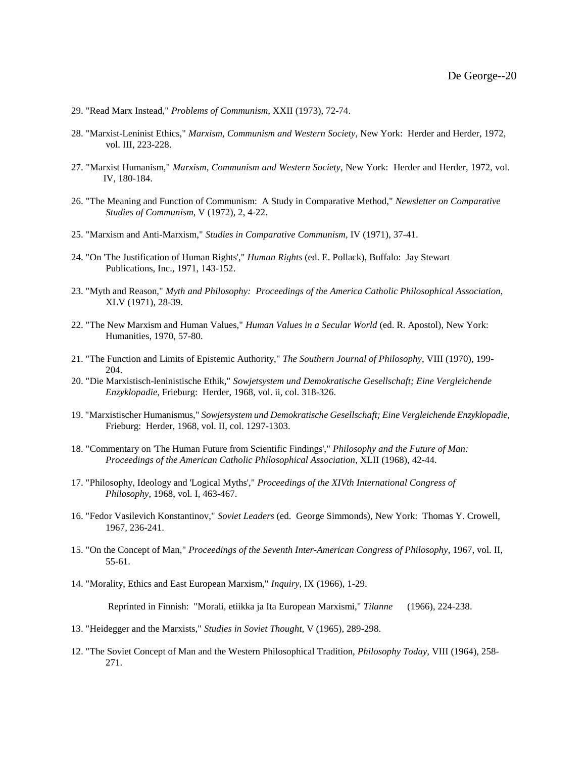- 29. "Read Marx Instead," *Problems of Communism*, XXII (1973), 72-74.
- 28. "Marxist-Leninist Ethics," *Marxism, Communism and Western Society*, New York: Herder and Herder, 1972, vol. III, 223-228.
- 27. "Marxist Humanism," *Marxism, Communism and Western Society*, New York: Herder and Herder, 1972, vol. IV, 180-184.
- 26. "The Meaning and Function of Communism: A Study in Comparative Method," *Newsletter on Comparative Studies of Communism*, V (1972), 2, 4-22.
- 25. "Marxism and Anti-Marxism," *Studies in Comparative Communism*, IV (1971), 37-41.
- 24. "On 'The Justification of Human Rights'," *Human Rights* (ed. E. Pollack), Buffalo: Jay Stewart Publications, Inc., 1971, 143-152.
- 23. "Myth and Reason," *Myth and Philosophy: Proceedings of the America Catholic Philosophical Association*, XLV (1971), 28-39.
- 22. "The New Marxism and Human Values," *Human Values in a Secular World* (ed. R. Apostol), New York: Humanities, 1970, 57-80.
- 21. "The Function and Limits of Epistemic Authority," *The Southern Journal of Philosophy*, VIII (1970), 199- 204.
- 20. "Die Marxistisch-leninistische Ethik," *Sowjetsystem und Demokratische Gesellschaft; Eine Vergleichende Enzyklopadie*, Frieburg: Herder, 1968, vol. ii, col. 318-326.
- 19. "Marxistischer Humanismus," *Sowjetsystem und Demokratische Gesellschaft; Eine Vergleichende Enzyklopadie*, Frieburg: Herder, 1968, vol. II, col. 1297-1303.
- 18. "Commentary on 'The Human Future from Scientific Findings'," *Philosophy and the Future of Man: Proceedings of the American Catholic Philosophical Association*, XLII (1968), 42-44.
- 17. "Philosophy, Ideology and 'Logical Myths'," *Proceedings of the XIVth International Congress of Philosophy*, 1968, vol. I, 463-467.
- 16. "Fedor Vasilevich Konstantinov," *Soviet Leaders* (ed. George Simmonds), New York: Thomas Y. Crowell, 1967, 236-241.
- 15. "On the Concept of Man," *Proceedings of the Seventh Inter-American Congress of Philosophy*, 1967, vol. II, 55-61.
- 14. "Morality, Ethics and East European Marxism," *Inquiry*, IX (1966), 1-29.

Reprinted in Finnish: "Morali, etiikka ja Ita European Marxismi," *Tilanne* (1966), 224-238.

- 13. "Heidegger and the Marxists," *Studies in Soviet Thought*, V (1965), 289-298.
- 12. "The Soviet Concept of Man and the Western Philosophical Tradition, *Philosophy Today*, VIII (1964), 258- 271.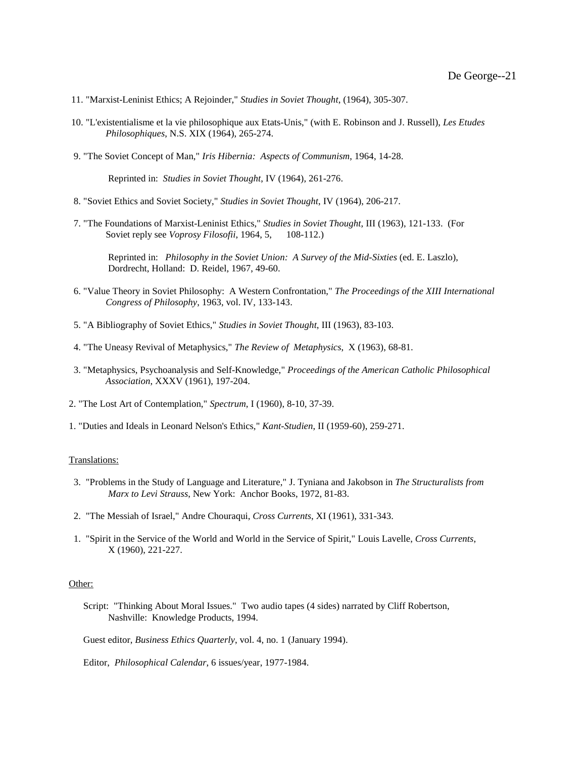- 11. "Marxist-Leninist Ethics; A Rejoinder," *Studies in Soviet Thought*, (1964), 305-307.
- 10. "L'existentialisme et la vie philosophique aux Etats-Unis," (with E. Robinson and J. Russell), *Les Etudes Philosophiques*, N.S. XIX (1964), 265-274.
- 9. "The Soviet Concept of Man," *Iris Hibernia: Aspects of Communism*, 1964, 14-28.

Reprinted in: *Studies in Soviet Thought*, IV (1964), 261-276.

- 8. "Soviet Ethics and Soviet Society," *Studies in Soviet Thought*, IV (1964), 206-217.
- 7. "The Foundations of Marxist-Leninist Ethics," *Studies in Soviet Thought*, III (1963), 121-133. (For Soviet reply see *Voprosy Filosofii*, 1964, 5, 108-112.)

 Reprinted in: *Philosophy in the Soviet Union: A Survey of the Mid-Sixties* (ed. E. Laszlo), Dordrecht, Holland: D. Reidel, 1967, 49-60.

- 6. "Value Theory in Soviet Philosophy: A Western Confrontation," *The Proceedings of the XIII International Congress of Philosophy*, 1963, vol. IV, 133-143.
- 5. "A Bibliography of Soviet Ethics," *Studies in Soviet Thought*, III (1963), 83-103.
- 4. "The Uneasy Revival of Metaphysics," *The Review of Metaphysics*, X (1963), 68-81.
- 3. "Metaphysics, Psychoanalysis and Self-Knowledge," *Proceedings of the American Catholic Philosophical Association*, XXXV (1961), 197-204.
- 2. "The Lost Art of Contemplation," *Spectrum*, I (1960), 8-10, 37-39.
- 1. "Duties and Ideals in Leonard Nelson's Ethics," *Kant-Studien*, II (1959-60), 259-271.

#### Translations:

- 3. "Problems in the Study of Language and Literature," J. Tyniana and Jakobson in *The Structuralists from Marx to Levi Strauss*, New York: Anchor Books, 1972, 81-83.
- 2. "The Messiah of Israel," Andre Chouraqui, *Cross Currents*, XI (1961), 331-343.
- 1. "Spirit in the Service of the World and World in the Service of Spirit," Louis Lavelle, *Cross Currents*, X (1960), 221-227.

## Other:

 Script: "Thinking About Moral Issues." Two audio tapes (4 sides) narrated by Cliff Robertson, Nashville: Knowledge Products, 1994.

Guest editor, *Business Ethics Quarterly*, vol. 4, no. 1 (January 1994).

Editor, *Philosophical Calendar*, 6 issues/year, 1977-1984.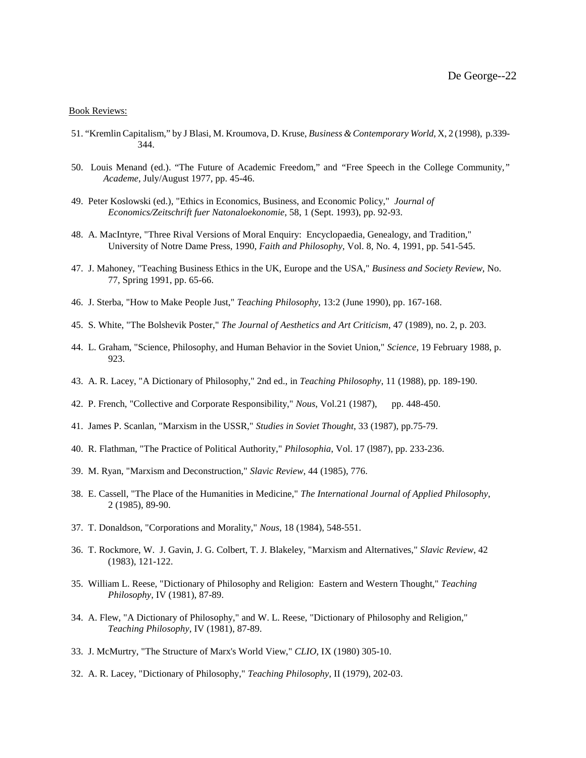### Book Reviews:

- 51. "Kremlin Capitalism," by J Blasi, M. Kroumova, D. Kruse, *Business & Contemporary World*, X, 2 (1998), p.339- 344.
- 50. Louis Menand (ed.). "The Future of Academic Freedom," and *"*Free Speech in the College Community*," Academe*, July/August 1977, pp. 45-46.
- 49. Peter Koslowski (ed.), "Ethics in Economics, Business, and Economic Policy," *Journal of Economics/Zeitschrift fuer Natonaloekonomie*, 58, 1 (Sept. 1993), pp. 92-93.
- 48. A. MacIntyre, "Three Rival Versions of Moral Enquiry: Encyclopaedia, Genealogy, and Tradition," University of Notre Dame Press, 1990, *Faith and Philosophy*, Vol. 8, No. 4, 1991, pp. 541-545.
- 47. J. Mahoney, "Teaching Business Ethics in the UK, Europe and the USA," *Business and Society Review*, No. 77, Spring 1991, pp. 65-66.
- 46. J. Sterba, "How to Make People Just," *Teaching Philosophy*, 13:2 (June 1990), pp. 167-168.
- 45. S. White, "The Bolshevik Poster," *The Journal of Aesthetics and Art Criticism*, 47 (1989), no. 2, p. 203.
- 44. L. Graham, "Science, Philosophy, and Human Behavior in the Soviet Union," *Science*, 19 February 1988, p. 923.
- 43. A. R. Lacey, "A Dictionary of Philosophy," 2nd ed., in *Teaching Philosophy*, 11 (1988), pp. 189-190.
- 42. P. French, "Collective and Corporate Responsibility," *Nous*, Vol.21 (1987), pp. 448-450.
- 41. James P. Scanlan, "Marxism in the USSR," *Studies in Soviet Thought*, 33 (1987), pp.75-79.
- 40. R. Flathman, "The Practice of Political Authority," *Philosophia*, Vol. 17 (l987), pp. 233-236.
- 39. M. Ryan, "Marxism and Deconstruction," *Slavic Review*, 44 (1985), 776.
- 38. E. Cassell, "The Place of the Humanities in Medicine," *The International Journal of Applied Philosophy*, 2 (1985), 89-90.
- 37. T. Donaldson, "Corporations and Morality," *Nous*, 18 (1984), 548-551.
- 36. T. Rockmore, W. J. Gavin, J. G. Colbert, T. J. Blakeley, "Marxism and Alternatives," *Slavic Review*, 42 (1983), 121-122.
- 35. William L. Reese, "Dictionary of Philosophy and Religion: Eastern and Western Thought," *Teaching Philosophy*, IV (1981), 87-89.
- 34. A. Flew, "A Dictionary of Philosophy," and W. L. Reese, "Dictionary of Philosophy and Religion," *Teaching Philosophy*, IV (1981), 87-89.

<sup>33.</sup> J. McMurtry, "The Structure of Marx's World View," *CLIO*, IX (1980) 305-10.

<sup>32.</sup> A. R. Lacey, "Dictionary of Philosophy," *Teaching Philosophy*, II (1979), 202-03.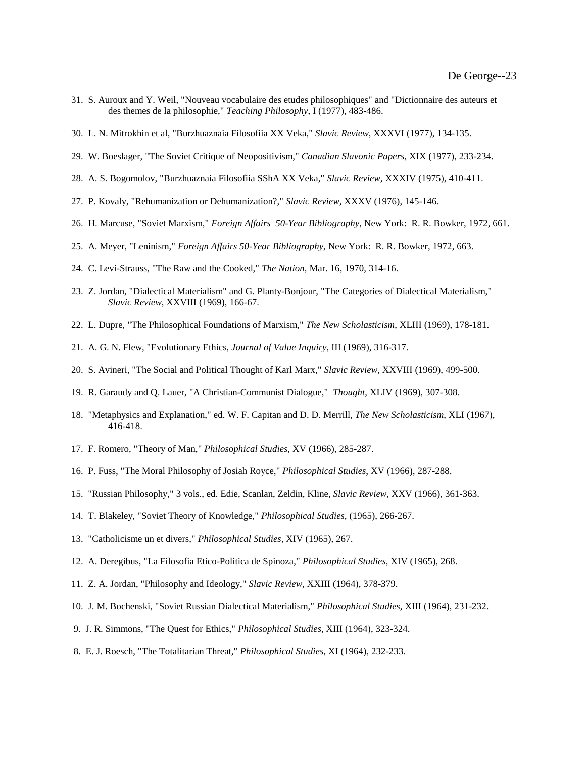- 31. S. Auroux and Y. Weil, "Nouveau vocabulaire des etudes philosophiques" and "Dictionnaire des auteurs et des themes de la philosophie," *Teaching Philosophy*, I (1977), 483-486.
- 30. L. N. Mitrokhin et al, "Burzhuaznaia Filosofiia XX Veka," *Slavic Review*, XXXVI (1977), 134-135.
- 29. W. Boeslager, "The Soviet Critique of Neopositivism," *Canadian Slavonic Papers*, XIX (1977), 233-234.
- 28. A. S. Bogomolov, "Burzhuaznaia Filosofiia SShA XX Veka," *Slavic Review*, XXXIV (1975), 410-411.
- 27. P. Kovaly, "Rehumanization or Dehumanization?," *Slavic Review*, XXXV (1976), 145-146.
- 26. H. Marcuse, "Soviet Marxism," *Foreign Affairs 50-Year Bibliography*, New York: R. R. Bowker, 1972, 661.
- 25. A. Meyer, "Leninism," *Foreign Affairs 50-Year Bibliography*, New York: R. R. Bowker, 1972, 663.
- 24. C. Levi-Strauss, "The Raw and the Cooked," *The Nation*, Mar. 16, 1970, 314-16.
- 23. Z. Jordan, "Dialectical Materialism" and G. Planty-Bonjour, "The Categories of Dialectical Materialism," *Slavic Review*, XXVIII (1969), 166-67.
- 22. L. Dupre, "The Philosophical Foundations of Marxism," *The New Scholasticism*, XLIII (1969), 178-181.
- 21. A. G. N. Flew, "Evolutionary Ethics, *Journal of Value Inquiry*, III (1969), 316-317.
- 20. S. Avineri, "The Social and Political Thought of Karl Marx," *Slavic Review*, XXVIII (1969), 499-500.
- 19. R. Garaudy and Q. Lauer, "A Christian-Communist Dialogue," *Thought*, XLIV (1969), 307-308.
- 18. "Metaphysics and Explanation," ed. W. F. Capitan and D. D. Merrill, *The New Scholasticism*, XLI (1967), 416-418.
- 17. F. Romero, "Theory of Man," *Philosophical Studies*, XV (1966), 285-287.
- 16. P. Fuss, "The Moral Philosophy of Josiah Royce," *Philosophical Studies*, XV (1966), 287-288.
- 15. "Russian Philosophy," 3 vols., ed. Edie, Scanlan, Zeldin, Kline, *Slavic Review*, XXV (1966), 361-363.
- 14. T. Blakeley, "Soviet Theory of Knowledge," *Philosophical Studies*, (1965), 266-267.
- 13. "Catholicisme un et divers," *Philosophical Studies*, XIV (1965), 267.
- 12. A. Deregibus, "La Filosofia Etico-Politica de Spinoza," *Philosophical Studies*, XIV (1965), 268.
- 11. Z. A. Jordan, "Philosophy and Ideology," *Slavic Review*, XXIII (1964), 378-379.
- 10. J. M. Bochenski, "Soviet Russian Dialectical Materialism," *Philosophical Studies*, XIII (1964), 231-232.
- 9. J. R. Simmons, "The Quest for Ethics," *Philosophical Studies*, XIII (1964), 323-324.
- 8. E. J. Roesch, "The Totalitarian Threat," *Philosophical Studies*, XI (1964), 232-233.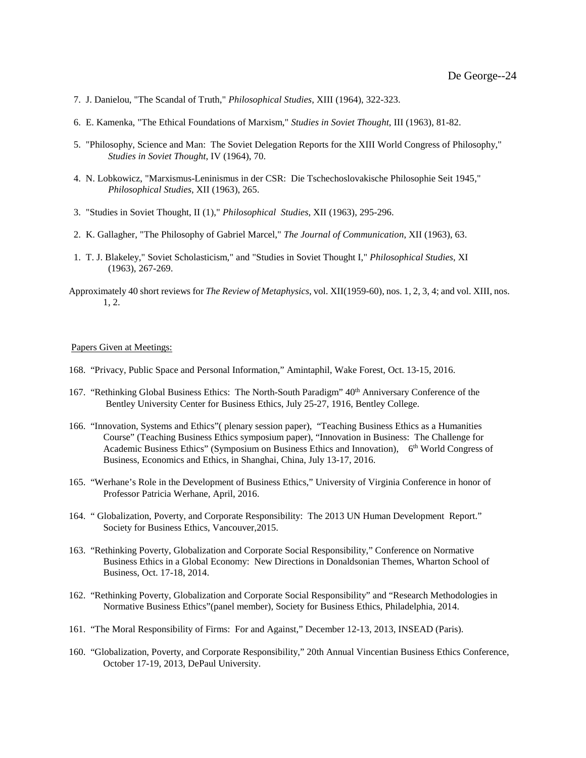- 7. J. Danielou, "The Scandal of Truth," *Philosophical Studies*, XIII (1964), 322-323.
- 6. E. Kamenka, "The Ethical Foundations of Marxism," *Studies in Soviet Thought*, III (1963), 81-82.
- 5. "Philosophy, Science and Man: The Soviet Delegation Reports for the XIII World Congress of Philosophy," *Studies in Soviet Thought*, IV (1964), 70.
- 4. N. Lobkowicz, "Marxismus-Leninismus in der CSR: Die Tschechoslovakische Philosophie Seit 1945," *Philosophical Studies*, XII (1963), 265.
- 3. "Studies in Soviet Thought, II (1)," *Philosophical Studies*, XII (1963), 295-296.
- 2. K. Gallagher, "The Philosophy of Gabriel Marcel," *The Journal of Communication*, XII (1963), 63.
- 1. T. J. Blakeley," Soviet Scholasticism," and "Studies in Soviet Thought I," *Philosophical Studies*, XI (1963), 267-269.
- Approximately 40 short reviews for *The Review of Metaphysics*, vol. XII(1959-60), nos. 1, 2, 3, 4; and vol. XIII, nos. 1, 2.

# Papers Given at Meetings:

- 168. "Privacy, Public Space and Personal Information," Amintaphil, Wake Forest, Oct. 13-15, 2016.
- 167. "Rethinking Global Business Ethics: The North-South Paradigm" 40<sup>th</sup> Anniversary Conference of the Bentley University Center for Business Ethics, July 25-27, 1916, Bentley College.
- 166. "Innovation, Systems and Ethics"( plenary session paper), "Teaching Business Ethics as a Humanities Course" (Teaching Business Ethics symposium paper), "Innovation in Business: The Challenge for Academic Business Ethics" (Symposium on Business Ethics and Innovation), 6<sup>th</sup> World Congress of Business, Economics and Ethics, in Shanghai, China, July 13-17, 2016.
- 165. "Werhane's Role in the Development of Business Ethics," University of Virginia Conference in honor of Professor Patricia Werhane, April, 2016.
- 164. " Globalization, Poverty, and Corporate Responsibility: The 2013 UN Human Development Report." Society for Business Ethics, Vancouver,2015.
- 163. "Rethinking Poverty, Globalization and Corporate Social Responsibility," Conference on Normative Business Ethics in a Global Economy: New Directions in Donaldsonian Themes, Wharton School of Business, Oct. 17-18, 2014.
- 162. "Rethinking Poverty, Globalization and Corporate Social Responsibility" and "Research Methodologies in Normative Business Ethics"(panel member), Society for Business Ethics, Philadelphia, 2014.
- 161. "The Moral Responsibility of Firms: For and Against," December 12-13, 2013, INSEAD (Paris).
- 160. "Globalization, Poverty, and Corporate Responsibility," 20th Annual Vincentian Business Ethics Conference, October 17-19, 2013, DePaul University.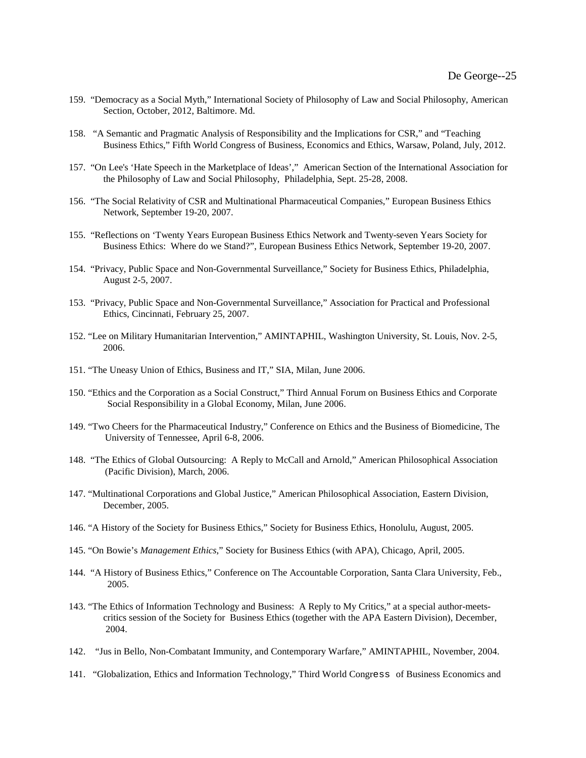- 159. "Democracy as a Social Myth," International Society of Philosophy of Law and Social Philosophy, American Section, October, 2012, Baltimore. Md.
- 158. "A Semantic and Pragmatic Analysis of Responsibility and the Implications for CSR," and "Teaching Business Ethics," Fifth World Congress of Business, Economics and Ethics, Warsaw, Poland, July, 2012.
- 157. "On Lee's 'Hate Speech in the Marketplace of Ideas'," American Section of the International Association for the Philosophy of Law and Social Philosophy, Philadelphia, Sept. 25-28, 2008.
- 156. "The Social Relativity of CSR and Multinational Pharmaceutical Companies," European Business Ethics Network, September 19-20, 2007.
- 155. "Reflections on 'Twenty Years European Business Ethics Network and Twenty-seven Years Society for Business Ethics: Where do we Stand?", European Business Ethics Network, September 19-20, 2007.
- 154. "Privacy, Public Space and Non-Governmental Surveillance," Society for Business Ethics, Philadelphia, August 2-5, 2007.
- 153. "Privacy, Public Space and Non-Governmental Surveillance," Association for Practical and Professional Ethics, Cincinnati, February 25, 2007.
- 152. "Lee on Military Humanitarian Intervention," AMINTAPHIL, Washington University, St. Louis, Nov. 2-5, 2006.
- 151. "The Uneasy Union of Ethics, Business and IT," SIA, Milan, June 2006.
- 150. "Ethics and the Corporation as a Social Construct," Third Annual Forum on Business Ethics and Corporate Social Responsibility in a Global Economy, Milan, June 2006.
- 149. "Two Cheers for the Pharmaceutical Industry," Conference on Ethics and the Business of Biomedicine, The University of Tennessee, April 6-8, 2006.
- 148. "The Ethics of Global Outsourcing: A Reply to McCall and Arnold," American Philosophical Association (Pacific Division), March, 2006.
- 147. "Multinational Corporations and Global Justice," American Philosophical Association, Eastern Division, December, 2005.
- 146. "A History of the Society for Business Ethics," Society for Business Ethics, Honolulu, August, 2005.
- 145. "On Bowie's *Management Ethics*," Society for Business Ethics (with APA), Chicago, April, 2005.
- 144. "A History of Business Ethics," Conference on The Accountable Corporation, Santa Clara University, Feb., 2005.
- 143. "The Ethics of Information Technology and Business: A Reply to My Critics," at a special author-meetscritics session of the Society for Business Ethics (together with the APA Eastern Division), December, 2004.
- 142. "Jus in Bello, Non-Combatant Immunity, and Contemporary Warfare," AMINTAPHIL, November, 2004.
- 141. "Globalization, Ethics and Information Technology," Third World Congress of Business Economics and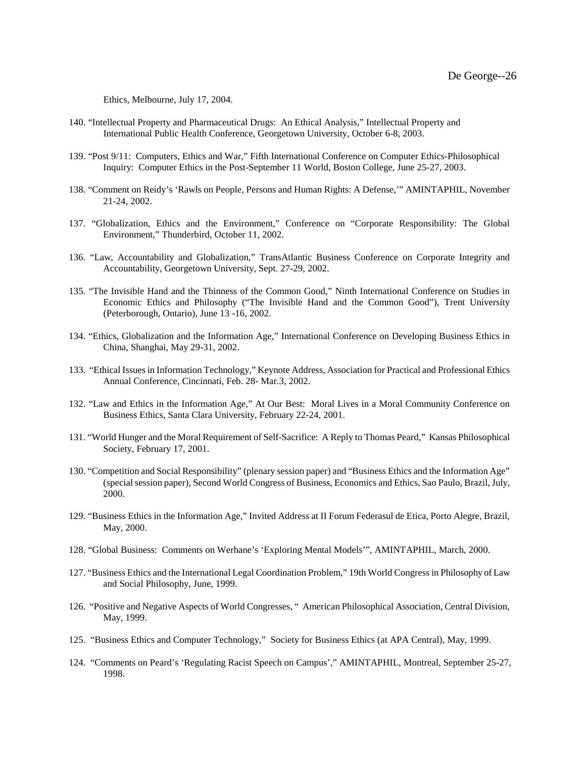Ethics, Melbourne, July 17, 2004.

- 140. "Intellectual Property and Pharmaceutical Drugs: An Ethical Analysis," Intellectual Property and International Public Health Conference, Georgetown University, October 6-8, 2003.
- 139. "Post 9/11: Computers, Ethics and War," Fifth International Conference on Computer Ethics-Philosophical Inquiry: Computer Ethics in the Post-September 11 World, Boston College, June 25-27, 2003.
- 138. "Comment on Reidy's 'Rawls on People, Persons and Human Rights: A Defense,'" AMINTAPHIL, November 21-24, 2002.
- 137. "Globalization, Ethics and the Environment," Conference on "Corporate Responsibility: The Global Environment," Thunderbird, October 11, 2002.
- 136. "Law, Accountability and Globalization," TransAtlantic Business Conference on Corporate Integrity and Accountability, Georgetown University, Sept. 27-29, 2002.
- 135. "The Invisible Hand and the Thinness of the Common Good," Ninth International Conference on Studies in Economic Ethics and Philosophy ("The Invisible Hand and the Common Good"), Trent University (Peterborough, Ontario), June 13 -16, 2002.
- 134. "Ethics, Globalization and the Information Age," International Conference on Developing Business Ethics in China, Shanghai, May 29-31, 2002.
- 133. "Ethical Issues in Information Technology," Keynote Address, Association for Practical and Professional Ethics Annual Conference, Cincinnati, Feb. 28- Mar.3, 2002.
- 132. "Law and Ethics in the Information Age," At Our Best: Moral Lives in a Moral Community Conference on Business Ethics, Santa Clara University, February 22-24, 2001.
- 131. "World Hunger and the Moral Requirement of Self-Sacrifice: A Reply to Thomas Peard," Kansas Philosophical Society, February 17, 2001.
- 130. "Competition and Social Responsibility" (plenary session paper) and "Business Ethics and the Information Age" (special session paper), Second World Congress of Business, Economics and Ethics, Sao Paulo, Brazil, July, 2000.
- 129. "Business Ethics in the Information Age," Invited Address at II Forum Federasul de Etica, Porto Alegre, Brazil, May, 2000.
- 128. "Global Business: Comments on Werhane's 'Exploring Mental Models'", AMINTAPHIL, March, 2000.
- 127. "Business Ethics and the International Legal Coordination Problem," 19th World Congress in Philosophy of Law and Social Philosophy, June, 1999.
- 126. "Positive and Negative Aspects of World Congresses, " American Philosophical Association, Central Division, May, 1999.
- 125. "Business Ethics and Computer Technology," Society for Business Ethics (at APA Central), May, 1999.
- 124. "Comments on Peard's 'Regulating Racist Speech on Campus'," AMINTAPHIL, Montreal, September 25-27, 1998.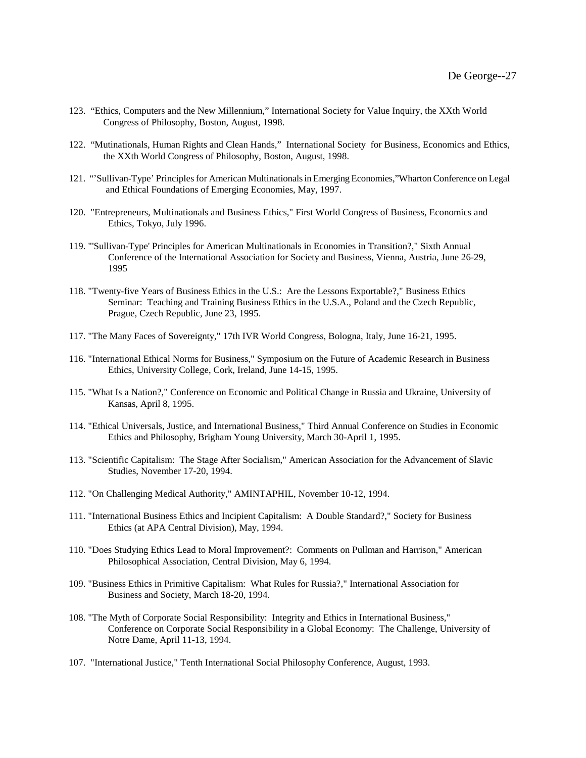- 123. "Ethics, Computers and the New Millennium," International Society for Value Inquiry, the XXth World Congress of Philosophy, Boston, August, 1998.
- 122. "Mutinationals, Human Rights and Clean Hands," International Society for Business, Economics and Ethics, the XXth World Congress of Philosophy, Boston, August, 1998.
- 121. "'Sullivan-Type' Principles for American Multinationals in Emerging Economies,"Wharton Conference on Legal and Ethical Foundations of Emerging Economies, May, 1997.
- 120. "Entrepreneurs, Multinationals and Business Ethics," First World Congress of Business, Economics and Ethics, Tokyo, July 1996.
- 119. "'Sullivan-Type' Principles for American Multinationals in Economies in Transition?," Sixth Annual Conference of the International Association for Society and Business, Vienna, Austria, June 26-29, 1995
- 118. "Twenty-five Years of Business Ethics in the U.S.: Are the Lessons Exportable?," Business Ethics Seminar: Teaching and Training Business Ethics in the U.S.A., Poland and the Czech Republic, Prague, Czech Republic, June 23, 1995.
- 117. "The Many Faces of Sovereignty," 17th IVR World Congress, Bologna, Italy, June 16-21, 1995.
- 116. "International Ethical Norms for Business," Symposium on the Future of Academic Research in Business Ethics, University College, Cork, Ireland, June 14-15, 1995.
- 115. "What Is a Nation?," Conference on Economic and Political Change in Russia and Ukraine, University of Kansas, April 8, 1995.
- 114. "Ethical Universals, Justice, and International Business," Third Annual Conference on Studies in Economic Ethics and Philosophy, Brigham Young University, March 30-April 1, 1995.
- 113. "Scientific Capitalism: The Stage After Socialism," American Association for the Advancement of Slavic Studies, November 17-20, 1994.
- 112. "On Challenging Medical Authority," AMINTAPHIL, November 10-12, 1994.
- 111. "International Business Ethics and Incipient Capitalism: A Double Standard?," Society for Business Ethics (at APA Central Division), May, 1994.
- 110. "Does Studying Ethics Lead to Moral Improvement?: Comments on Pullman and Harrison," American Philosophical Association, Central Division, May 6, 1994.
- 109. "Business Ethics in Primitive Capitalism: What Rules for Russia?," International Association for Business and Society, March 18-20, 1994.
- 108. "The Myth of Corporate Social Responsibility: Integrity and Ethics in International Business," Conference on Corporate Social Responsibility in a Global Economy: The Challenge, University of Notre Dame, April 11-13, 1994.
- 107. "International Justice," Tenth International Social Philosophy Conference, August, 1993.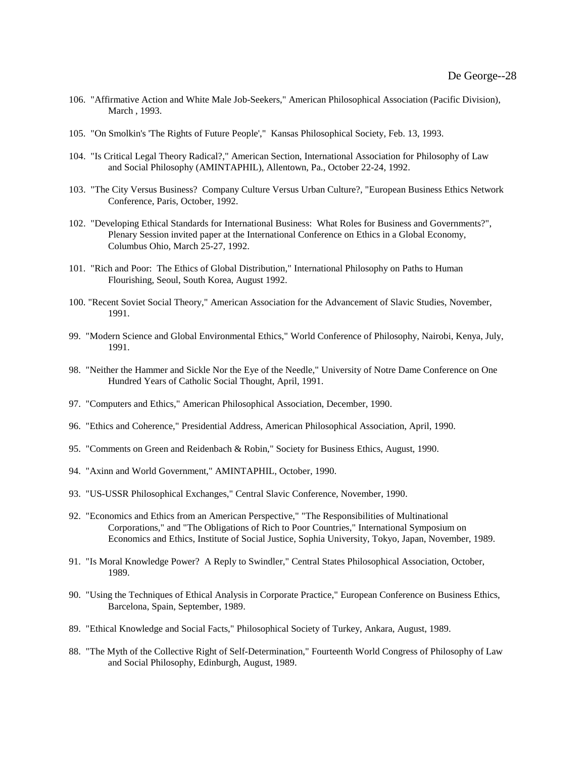- 106. "Affirmative Action and White Male Job-Seekers," American Philosophical Association (Pacific Division), March , 1993.
- 105. "On Smolkin's 'The Rights of Future People'," Kansas Philosophical Society, Feb. 13, 1993.
- 104. "Is Critical Legal Theory Radical?," American Section, International Association for Philosophy of Law and Social Philosophy (AMINTAPHIL), Allentown, Pa., October 22-24, 1992.
- 103. "The City Versus Business? Company Culture Versus Urban Culture?, "European Business Ethics Network Conference, Paris, October, 1992.
- 102. "Developing Ethical Standards for International Business: What Roles for Business and Governments?", Plenary Session invited paper at the International Conference on Ethics in a Global Economy, Columbus Ohio, March 25-27, 1992.
- 101. "Rich and Poor: The Ethics of Global Distribution," International Philosophy on Paths to Human Flourishing, Seoul, South Korea, August 1992.
- 100. "Recent Soviet Social Theory," American Association for the Advancement of Slavic Studies, November, 1991.
- 99. "Modern Science and Global Environmental Ethics," World Conference of Philosophy, Nairobi, Kenya, July, 1991.
- 98. "Neither the Hammer and Sickle Nor the Eye of the Needle," University of Notre Dame Conference on One Hundred Years of Catholic Social Thought, April, 1991.
- 97. "Computers and Ethics," American Philosophical Association, December, 1990.
- 96. "Ethics and Coherence," Presidential Address, American Philosophical Association, April, 1990.
- 95. "Comments on Green and Reidenbach & Robin," Society for Business Ethics, August, 1990.
- 94. "Axinn and World Government," AMINTAPHIL, October, 1990.
- 93. "US-USSR Philosophical Exchanges," Central Slavic Conference, November, 1990.
- 92. "Economics and Ethics from an American Perspective," "The Responsibilities of Multinational Corporations," and "The Obligations of Rich to Poor Countries," International Symposium on Economics and Ethics, Institute of Social Justice, Sophia University, Tokyo, Japan, November, 1989.
- 91. "Is Moral Knowledge Power? A Reply to Swindler," Central States Philosophical Association, October, 1989.
- 90. "Using the Techniques of Ethical Analysis in Corporate Practice," European Conference on Business Ethics, Barcelona, Spain, September, 1989.
- 89. "Ethical Knowledge and Social Facts," Philosophical Society of Turkey, Ankara, August, 1989.
- 88. "The Myth of the Collective Right of Self-Determination," Fourteenth World Congress of Philosophy of Law and Social Philosophy, Edinburgh, August, 1989.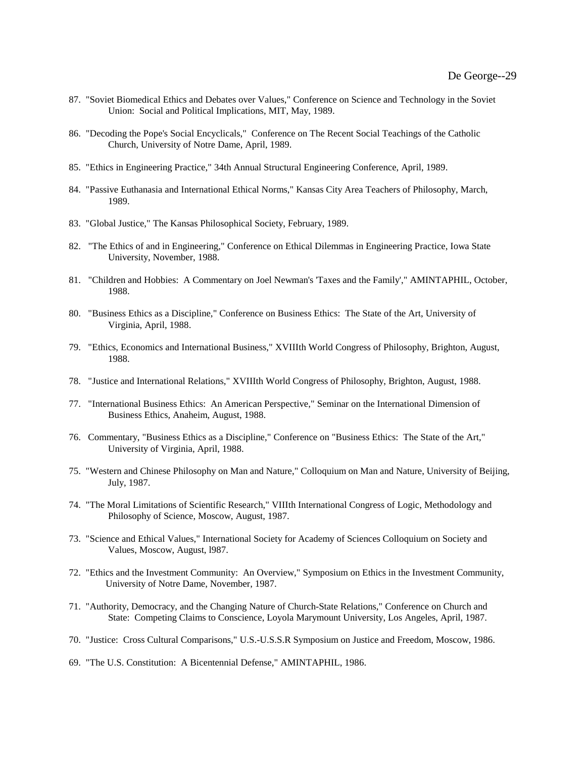- 87. "Soviet Biomedical Ethics and Debates over Values," Conference on Science and Technology in the Soviet Union: Social and Political Implications, MIT, May, 1989.
- 86. "Decoding the Pope's Social Encyclicals," Conference on The Recent Social Teachings of the Catholic Church, University of Notre Dame, April, 1989.
- 85. "Ethics in Engineering Practice," 34th Annual Structural Engineering Conference, April, 1989.
- 84. "Passive Euthanasia and International Ethical Norms," Kansas City Area Teachers of Philosophy, March, 1989.
- 83. "Global Justice," The Kansas Philosophical Society, February, 1989.
- 82. "The Ethics of and in Engineering," Conference on Ethical Dilemmas in Engineering Practice, Iowa State University, November, 1988.
- 81. "Children and Hobbies: A Commentary on Joel Newman's 'Taxes and the Family'," AMINTAPHIL, October, 1988.
- 80. "Business Ethics as a Discipline," Conference on Business Ethics: The State of the Art, University of Virginia, April, 1988.
- 79. "Ethics, Economics and International Business," XVIIIth World Congress of Philosophy, Brighton, August, 1988.
- 78. "Justice and International Relations," XVIIIth World Congress of Philosophy, Brighton, August, 1988.
- 77. "International Business Ethics: An American Perspective," Seminar on the International Dimension of Business Ethics, Anaheim, August, 1988.
- 76. Commentary, "Business Ethics as a Discipline," Conference on "Business Ethics: The State of the Art," University of Virginia, April, 1988.
- 75. "Western and Chinese Philosophy on Man and Nature," Colloquium on Man and Nature, University of Beijing, July, 1987.
- 74. "The Moral Limitations of Scientific Research," VIIIth International Congress of Logic, Methodology and Philosophy of Science, Moscow, August, 1987.
- 73. "Science and Ethical Values," International Society for Academy of Sciences Colloquium on Society and Values, Moscow, August, l987.
- 72. "Ethics and the Investment Community: An Overview," Symposium on Ethics in the Investment Community, University of Notre Dame, November, 1987.
- 71. "Authority, Democracy, and the Changing Nature of Church-State Relations," Conference on Church and State: Competing Claims to Conscience, Loyola Marymount University, Los Angeles, April, 1987.
- 70. "Justice: Cross Cultural Comparisons," U.S.-U.S.S.R Symposium on Justice and Freedom, Moscow, 1986.
- 69. "The U.S. Constitution: A Bicentennial Defense," AMINTAPHIL, 1986.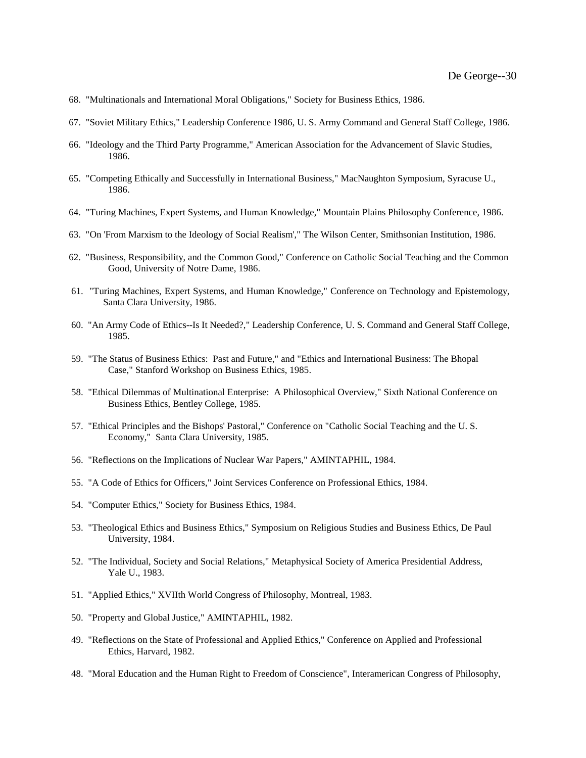- 68. "Multinationals and International Moral Obligations," Society for Business Ethics, 1986.
- 67. "Soviet Military Ethics," Leadership Conference 1986, U. S. Army Command and General Staff College, 1986.
- 66. "Ideology and the Third Party Programme," American Association for the Advancement of Slavic Studies, 1986.
- 65. "Competing Ethically and Successfully in International Business," MacNaughton Symposium, Syracuse U., 1986.
- 64. "Turing Machines, Expert Systems, and Human Knowledge," Mountain Plains Philosophy Conference, 1986.
- 63. "On 'From Marxism to the Ideology of Social Realism'," The Wilson Center, Smithsonian Institution, 1986.
- 62. "Business, Responsibility, and the Common Good," Conference on Catholic Social Teaching and the Common Good, University of Notre Dame, 1986.
- 61. "Turing Machines, Expert Systems, and Human Knowledge," Conference on Technology and Epistemology, Santa Clara University, 1986.
- 60. "An Army Code of Ethics--Is It Needed?," Leadership Conference, U. S. Command and General Staff College, 1985.
- 59. "The Status of Business Ethics: Past and Future," and "Ethics and International Business: The Bhopal Case," Stanford Workshop on Business Ethics, 1985.
- 58. "Ethical Dilemmas of Multinational Enterprise: A Philosophical Overview," Sixth National Conference on Business Ethics, Bentley College, 1985.
- 57. "Ethical Principles and the Bishops' Pastoral," Conference on "Catholic Social Teaching and the U. S. Economy," Santa Clara University, 1985.
- 56. "Reflections on the Implications of Nuclear War Papers," AMINTAPHIL, 1984.
- 55. "A Code of Ethics for Officers," Joint Services Conference on Professional Ethics, 1984.
- 54. "Computer Ethics," Society for Business Ethics, 1984.
- 53. "Theological Ethics and Business Ethics," Symposium on Religious Studies and Business Ethics, De Paul University, 1984.
- 52. "The Individual, Society and Social Relations," Metaphysical Society of America Presidential Address, Yale U., 1983.
- 51. "Applied Ethics," XVIIth World Congress of Philosophy, Montreal, 1983.
- 50. "Property and Global Justice," AMINTAPHIL, 1982.
- 49. "Reflections on the State of Professional and Applied Ethics," Conference on Applied and Professional Ethics, Harvard, 1982.
- 48. "Moral Education and the Human Right to Freedom of Conscience", Interamerican Congress of Philosophy,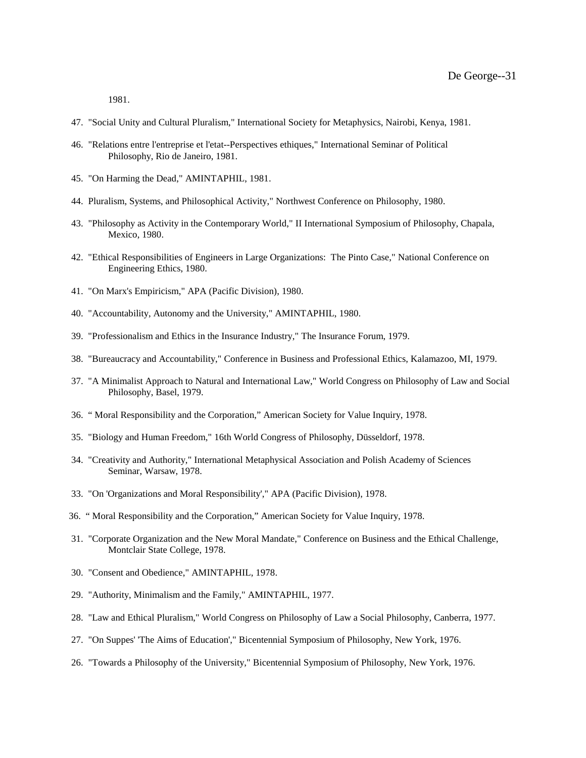1981.

- 47. "Social Unity and Cultural Pluralism," International Society for Metaphysics, Nairobi, Kenya, 1981.
- 46. "Relations entre l'entreprise et l'etat--Perspectives ethiques," International Seminar of Political Philosophy, Rio de Janeiro, 1981.
- 45. "On Harming the Dead," AMINTAPHIL, 1981.
- 44. Pluralism, Systems, and Philosophical Activity," Northwest Conference on Philosophy, 1980.
- 43. "Philosophy as Activity in the Contemporary World," II International Symposium of Philosophy, Chapala, Mexico, 1980.
- 42. "Ethical Responsibilities of Engineers in Large Organizations: The Pinto Case," National Conference on Engineering Ethics, 1980.
- 41. "On Marx's Empiricism," APA (Pacific Division), 1980.
- 40. "Accountability, Autonomy and the University," AMINTAPHIL, 1980.
- 39. "Professionalism and Ethics in the Insurance Industry," The Insurance Forum, 1979.
- 38. "Bureaucracy and Accountability," Conference in Business and Professional Ethics, Kalamazoo, MI, 1979.
- 37. "A Minimalist Approach to Natural and International Law," World Congress on Philosophy of Law and Social Philosophy, Basel, 1979.
- 36. " Moral Responsibility and the Corporation," American Society for Value Inquiry, 1978.
- 35. "Biology and Human Freedom," 16th World Congress of Philosophy, Düsseldorf, 1978.
- 34. "Creativity and Authority," International Metaphysical Association and Polish Academy of Sciences Seminar, Warsaw, 1978.
- 33. "On 'Organizations and Moral Responsibility'," APA (Pacific Division), 1978.
- 36. " Moral Responsibility and the Corporation," American Society for Value Inquiry, 1978.
- 31. "Corporate Organization and the New Moral Mandate," Conference on Business and the Ethical Challenge, Montclair State College, 1978.
- 30. "Consent and Obedience," AMINTAPHIL, 1978.
- 29. "Authority, Minimalism and the Family," AMINTAPHIL, 1977.
- 28. "Law and Ethical Pluralism," World Congress on Philosophy of Law a Social Philosophy, Canberra, 1977.
- 27. "On Suppes' 'The Aims of Education'," Bicentennial Symposium of Philosophy, New York, 1976.
- 26. "Towards a Philosophy of the University," Bicentennial Symposium of Philosophy, New York, 1976.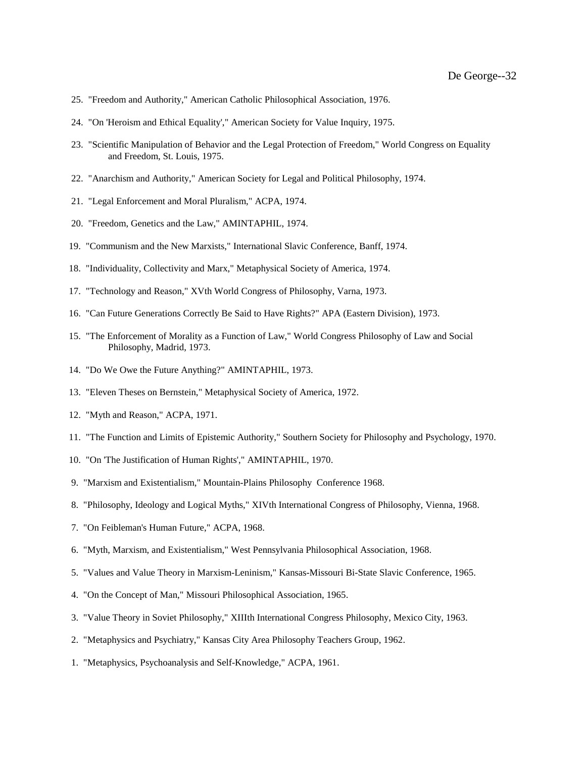- 25. "Freedom and Authority," American Catholic Philosophical Association, 1976.
- 24. "On 'Heroism and Ethical Equality'," American Society for Value Inquiry, 1975.
- 23. "Scientific Manipulation of Behavior and the Legal Protection of Freedom," World Congress on Equality and Freedom, St. Louis, 1975.
- 22. "Anarchism and Authority," American Society for Legal and Political Philosophy, 1974.
- 21. "Legal Enforcement and Moral Pluralism," ACPA, 1974.
- 20. "Freedom, Genetics and the Law," AMINTAPHIL, 1974.
- 19. "Communism and the New Marxists," International Slavic Conference, Banff, 1974.
- 18. "Individuality, Collectivity and Marx," Metaphysical Society of America, 1974.
- 17. "Technology and Reason," XVth World Congress of Philosophy, Varna, 1973.
- 16. "Can Future Generations Correctly Be Said to Have Rights?" APA (Eastern Division), 1973.
- 15. "The Enforcement of Morality as a Function of Law," World Congress Philosophy of Law and Social Philosophy, Madrid, 1973.
- 14. "Do We Owe the Future Anything?" AMINTAPHIL, 1973.
- 13. "Eleven Theses on Bernstein," Metaphysical Society of America, 1972.
- 12. "Myth and Reason," ACPA, 1971.
- 11. "The Function and Limits of Epistemic Authority," Southern Society for Philosophy and Psychology, 1970.
- 10. "On 'The Justification of Human Rights'," AMINTAPHIL, 1970.
- 9. "Marxism and Existentialism," Mountain-Plains Philosophy Conference 1968.
- 8. "Philosophy, Ideology and Logical Myths," XIVth International Congress of Philosophy, Vienna, 1968.
- 7. "On Feibleman's Human Future," ACPA, 1968.
- 6. "Myth, Marxism, and Existentialism," West Pennsylvania Philosophical Association, 1968.
- 5. "Values and Value Theory in Marxism-Leninism," Kansas-Missouri Bi-State Slavic Conference, 1965.
- 4. "On the Concept of Man," Missouri Philosophical Association, 1965.
- 3. "Value Theory in Soviet Philosophy," XIIIth International Congress Philosophy, Mexico City, 1963.
- 2. "Metaphysics and Psychiatry," Kansas City Area Philosophy Teachers Group, 1962.
- 1. "Metaphysics, Psychoanalysis and Self-Knowledge," ACPA, 1961.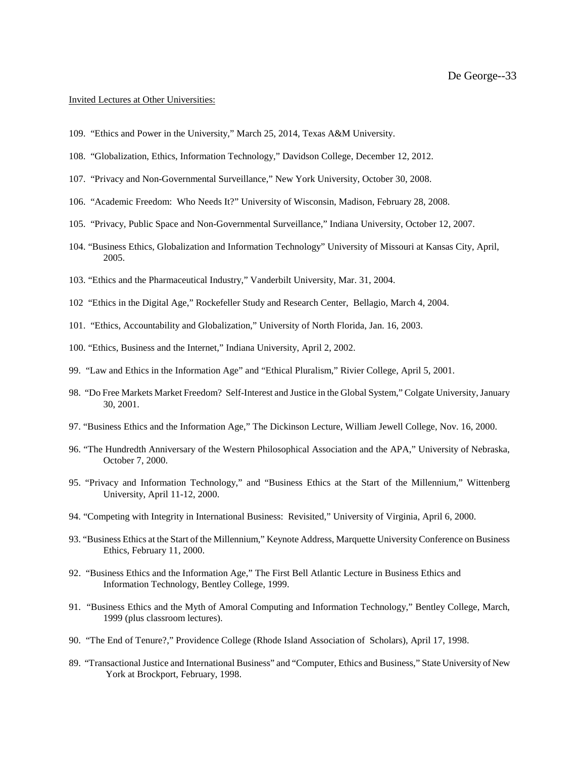# Invited Lectures at Other Universities:

- 109. "Ethics and Power in the University," March 25, 2014, Texas A&M University.
- 108. "Globalization, Ethics, Information Technology," Davidson College, December 12, 2012.
- 107. "Privacy and Non-Governmental Surveillance," New York University, October 30, 2008.
- 106. "Academic Freedom: Who Needs It?" University of Wisconsin, Madison, February 28, 2008.
- 105. "Privacy, Public Space and Non-Governmental Surveillance," Indiana University, October 12, 2007.
- 104. "Business Ethics, Globalization and Information Technology" University of Missouri at Kansas City, April, 2005.
- 103. "Ethics and the Pharmaceutical Industry," Vanderbilt University, Mar. 31, 2004.
- 102 "Ethics in the Digital Age," Rockefeller Study and Research Center, Bellagio, March 4, 2004.
- 101. "Ethics, Accountability and Globalization," University of North Florida, Jan. 16, 2003.
- 100. "Ethics, Business and the Internet*,*" Indiana University, April 2, 2002.
- 99. "Law and Ethics in the Information Age" and "Ethical Pluralism," Rivier College, April 5, 2001.
- 98. "Do Free Markets Market Freedom? Self-Interest and Justice in the Global System," Colgate University, January 30, 2001.
- 97. "Business Ethics and the Information Age," The Dickinson Lecture, William Jewell College, Nov. 16, 2000.
- 96. "The Hundredth Anniversary of the Western Philosophical Association and the APA," University of Nebraska, October 7, 2000.
- 95. "Privacy and Information Technology," and "Business Ethics at the Start of the Millennium," Wittenberg University, April 11-12, 2000.
- 94. "Competing with Integrity in International Business: Revisited," University of Virginia, April 6, 2000.
- 93. "Business Ethics at the Start of the Millennium," Keynote Address, Marquette University Conference on Business Ethics, February 11, 2000.
- 92. "Business Ethics and the Information Age," The First Bell Atlantic Lecture in Business Ethics and Information Technology, Bentley College, 1999.
- 91. "Business Ethics and the Myth of Amoral Computing and Information Technology," Bentley College, March, 1999 (plus classroom lectures).
- 90. "The End of Tenure?," Providence College (Rhode Island Association of Scholars), April 17, 1998.
- 89. "Transactional Justice and International Business" and "Computer, Ethics and Business," State University of New York at Brockport, February, 1998.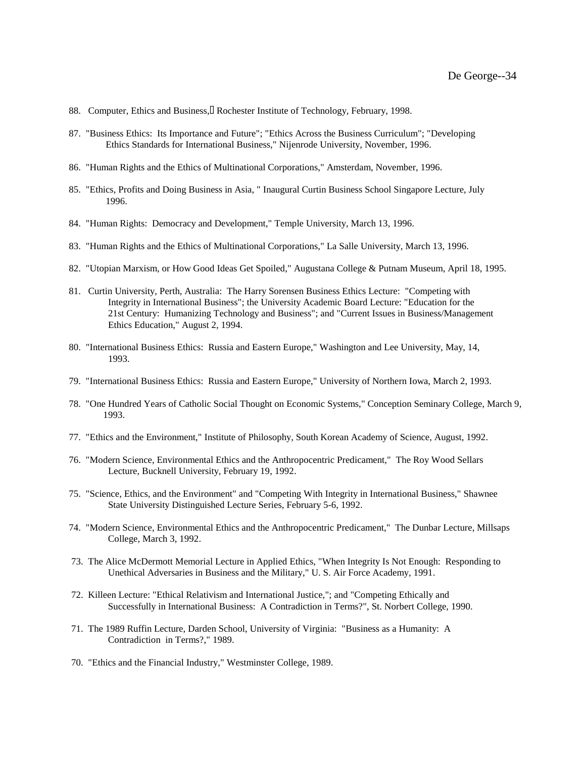- 88. Computer, Ethics and Business, Rochester Institute of Technology, February, 1998.
- 87. "Business Ethics: Its Importance and Future"; "Ethics Across the Business Curriculum"; "Developing Ethics Standards for International Business," Nijenrode University, November, 1996.
- 86. "Human Rights and the Ethics of Multinational Corporations," Amsterdam, November, 1996.
- 85. "Ethics, Profits and Doing Business in Asia, " Inaugural Curtin Business School Singapore Lecture, July 1996.
- 84. "Human Rights: Democracy and Development," Temple University, March 13, 1996.
- 83. "Human Rights and the Ethics of Multinational Corporations," La Salle University, March 13, 1996.
- 82. "Utopian Marxism, or How Good Ideas Get Spoiled," Augustana College & Putnam Museum, April 18, 1995.
- 81. Curtin University, Perth, Australia: The Harry Sorensen Business Ethics Lecture: "Competing with Integrity in International Business"; the University Academic Board Lecture: "Education for the 21st Century: Humanizing Technology and Business"; and "Current Issues in Business/Management Ethics Education," August 2, 1994.
- 80. "International Business Ethics: Russia and Eastern Europe," Washington and Lee University, May, 14, 1993.
- 79. "International Business Ethics: Russia and Eastern Europe," University of Northern Iowa, March 2, 1993.
- 78. "One Hundred Years of Catholic Social Thought on Economic Systems," Conception Seminary College, March 9, 1993.
- 77. "Ethics and the Environment," Institute of Philosophy, South Korean Academy of Science, August, 1992.
- 76. "Modern Science, Environmental Ethics and the Anthropocentric Predicament," The Roy Wood Sellars Lecture, Bucknell University, February 19, 1992.
- 75. "Science, Ethics, and the Environment" and "Competing With Integrity in International Business," Shawnee State University Distinguished Lecture Series, February 5-6, 1992.
- 74. "Modern Science, Environmental Ethics and the Anthropocentric Predicament," The Dunbar Lecture, Millsaps College, March 3, 1992.
- 73. The Alice McDermott Memorial Lecture in Applied Ethics, "When Integrity Is Not Enough: Responding to Unethical Adversaries in Business and the Military," U. S. Air Force Academy, 1991.
- 72. Killeen Lecture: "Ethical Relativism and International Justice,"; and "Competing Ethically and Successfully in International Business: A Contradiction in Terms?", St. Norbert College, 1990.
- 71. The 1989 Ruffin Lecture, Darden School, University of Virginia: "Business as a Humanity: A Contradiction in Terms?," 1989.
- 70. "Ethics and the Financial Industry," Westminster College, 1989.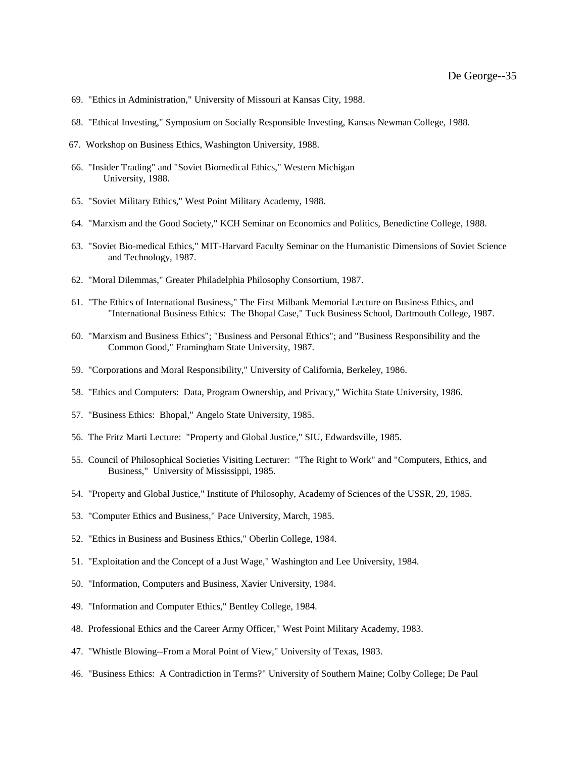- 69. "Ethics in Administration," University of Missouri at Kansas City, 1988.
- 68. "Ethical Investing," Symposium on Socially Responsible Investing, Kansas Newman College, 1988.
- 67. Workshop on Business Ethics, Washington University, 1988.
- 66. "Insider Trading" and "Soviet Biomedical Ethics," Western Michigan University, 1988.
- 65. "Soviet Military Ethics," West Point Military Academy, 1988.
- 64. "Marxism and the Good Society," KCH Seminar on Economics and Politics, Benedictine College, 1988.
- 63. "Soviet Bio-medical Ethics," MIT-Harvard Faculty Seminar on the Humanistic Dimensions of Soviet Science and Technology, 1987.
- 62. "Moral Dilemmas," Greater Philadelphia Philosophy Consortium, 1987.
- 61. "The Ethics of International Business," The First Milbank Memorial Lecture on Business Ethics, and "International Business Ethics: The Bhopal Case," Tuck Business School, Dartmouth College, 1987.
- 60. "Marxism and Business Ethics"; "Business and Personal Ethics"; and "Business Responsibility and the Common Good," Framingham State University, 1987.
- 59. "Corporations and Moral Responsibility," University of California, Berkeley, 1986.
- 58. "Ethics and Computers: Data, Program Ownership, and Privacy," Wichita State University, 1986.
- 57. "Business Ethics: Bhopal," Angelo State University, 1985.
- 56. The Fritz Marti Lecture: "Property and Global Justice," SIU, Edwardsville, 1985.
- 55. Council of Philosophical Societies Visiting Lecturer: "The Right to Work" and "Computers, Ethics, and Business," University of Mississippi, 1985.
- 54. "Property and Global Justice," Institute of Philosophy, Academy of Sciences of the USSR, 29, 1985.
- 53. "Computer Ethics and Business," Pace University, March, 1985.
- 52. "Ethics in Business and Business Ethics," Oberlin College, 1984.
- 51. "Exploitation and the Concept of a Just Wage," Washington and Lee University, 1984.
- 50. "Information, Computers and Business, Xavier University, 1984.
- 49. "Information and Computer Ethics," Bentley College, 1984.
- 48. Professional Ethics and the Career Army Officer," West Point Military Academy, 1983.
- 47. "Whistle Blowing--From a Moral Point of View," University of Texas, 1983.
- 46. "Business Ethics: A Contradiction in Terms?" University of Southern Maine; Colby College; De Paul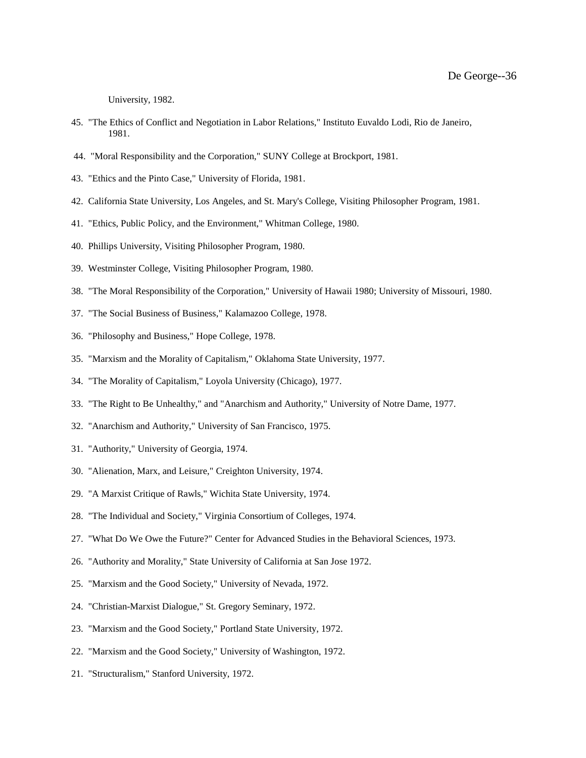University, 1982.

- 45. "The Ethics of Conflict and Negotiation in Labor Relations," Instituto Euvaldo Lodi, Rio de Janeiro, 1981.
- 44. "Moral Responsibility and the Corporation," SUNY College at Brockport, 1981.
- 43. "Ethics and the Pinto Case," University of Florida, 1981.
- 42. California State University, Los Angeles, and St. Mary's College, Visiting Philosopher Program, 1981.
- 41. "Ethics, Public Policy, and the Environment," Whitman College, 1980.
- 40. Phillips University, Visiting Philosopher Program, 1980.
- 39. Westminster College, Visiting Philosopher Program, 1980.
- 38. "The Moral Responsibility of the Corporation," University of Hawaii 1980; University of Missouri, 1980.
- 37. "The Social Business of Business," Kalamazoo College, 1978.
- 36. "Philosophy and Business," Hope College, 1978.
- 35. "Marxism and the Morality of Capitalism," Oklahoma State University, 1977.
- 34. "The Morality of Capitalism," Loyola University (Chicago), 1977.
- 33. "The Right to Be Unhealthy," and "Anarchism and Authority," University of Notre Dame, 1977.
- 32. "Anarchism and Authority," University of San Francisco, 1975.
- 31. "Authority," University of Georgia, 1974.
- 30. "Alienation, Marx, and Leisure," Creighton University, 1974.
- 29. "A Marxist Critique of Rawls," Wichita State University, 1974.
- 28. "The Individual and Society," Virginia Consortium of Colleges, 1974.
- 27. "What Do We Owe the Future?" Center for Advanced Studies in the Behavioral Sciences, 1973.
- 26. "Authority and Morality," State University of California at San Jose 1972.
- 25. "Marxism and the Good Society," University of Nevada, 1972.
- 24. "Christian-Marxist Dialogue," St. Gregory Seminary, 1972.
- 23. "Marxism and the Good Society," Portland State University, 1972.
- 22. "Marxism and the Good Society," University of Washington, 1972.
- 21. "Structuralism," Stanford University, 1972.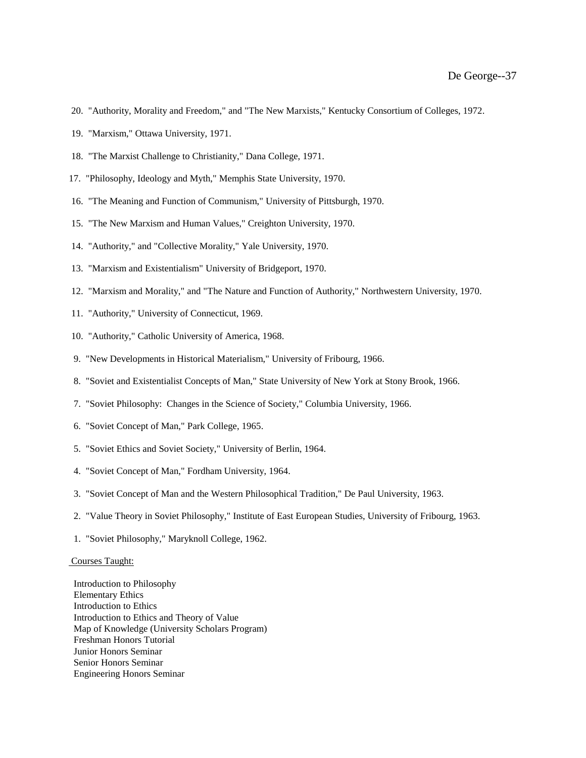- 20. "Authority, Morality and Freedom," and "The New Marxists," Kentucky Consortium of Colleges, 1972.
- 19. "Marxism," Ottawa University, 1971.
- 18. "The Marxist Challenge to Christianity," Dana College, 1971.
- 17. "Philosophy, Ideology and Myth," Memphis State University, 1970.
- 16. "The Meaning and Function of Communism," University of Pittsburgh, 1970.
- 15. "The New Marxism and Human Values," Creighton University, 1970.
- 14. "Authority," and "Collective Morality," Yale University, 1970.
- 13. "Marxism and Existentialism" University of Bridgeport, 1970.
- 12. "Marxism and Morality," and "The Nature and Function of Authority," Northwestern University, 1970.
- 11. "Authority," University of Connecticut, 1969.
- 10. "Authority," Catholic University of America, 1968.
- 9. "New Developments in Historical Materialism," University of Fribourg, 1966.
- 8. "Soviet and Existentialist Concepts of Man," State University of New York at Stony Brook, 1966.
- 7. "Soviet Philosophy: Changes in the Science of Society," Columbia University, 1966.
- 6. "Soviet Concept of Man," Park College, 1965.
- 5. "Soviet Ethics and Soviet Society," University of Berlin, 1964.
- 4. "Soviet Concept of Man," Fordham University, 1964.
- 3. "Soviet Concept of Man and the Western Philosophical Tradition," De Paul University, 1963.
- 2. "Value Theory in Soviet Philosophy," Institute of East European Studies, University of Fribourg, 1963.
- 1. "Soviet Philosophy," Maryknoll College, 1962.

## Courses Taught:

 Introduction to Philosophy Elementary Ethics Introduction to Ethics Introduction to Ethics and Theory of Value Map of Knowledge (University Scholars Program) Freshman Honors Tutorial Junior Honors Seminar Senior Honors Seminar Engineering Honors Seminar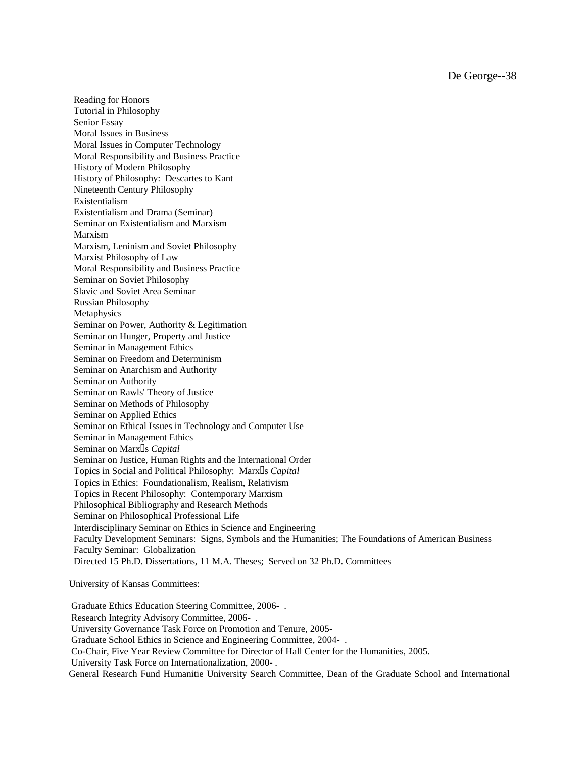De George--38

 Reading for Honors Tutorial in Philosophy Senior Essay Moral Issues in Business Moral Issues in Computer Technology Moral Responsibility and Business Practice History of Modern Philosophy History of Philosophy: Descartes to Kant Nineteenth Century Philosophy Existentialism Existentialism and Drama (Seminar) Seminar on Existentialism and Marxism Marxism Marxism, Leninism and Soviet Philosophy Marxist Philosophy of Law Moral Responsibility and Business Practice Seminar on Soviet Philosophy Slavic and Soviet Area Seminar Russian Philosophy **Metaphysics**  Seminar on Power, Authority & Legitimation Seminar on Hunger, Property and Justice Seminar in Management Ethics Seminar on Freedom and Determinism Seminar on Anarchism and Authority Seminar on Authority Seminar on Rawls' Theory of Justice Seminar on Methods of Philosophy Seminar on Applied Ethics Seminar on Ethical Issues in Technology and Computer Use Seminar in Management Ethics Seminar on Marx<sup>[]</sup>s *Capital*  Seminar on Justice, Human Rights and the International Order Topics in Social and Political Philosophy: Marx<sup>[]</sup>s *Capital*  Topics in Ethics: Foundationalism, Realism, Relativism Topics in Recent Philosophy: Contemporary Marxism Philosophical Bibliography and Research Methods Seminar on Philosophical Professional Life Interdisciplinary Seminar on Ethics in Science and Engineering Faculty Development Seminars: Signs, Symbols and the Humanities; The Foundations of American Business Faculty Seminar: Globalization Directed 15 Ph.D. Dissertations, 11 M.A. Theses; Served on 32 Ph.D. Committees

# University of Kansas Committees:

Graduate Ethics Education Steering Committee, 2006- . Research Integrity Advisory Committee, 2006- . University Governance Task Force on Promotion and Tenure, 2005- Graduate School Ethics in Science and Engineering Committee, 2004- . Co-Chair, Five Year Review Committee for Director of Hall Center for the Humanities, 2005. University Task Force on Internationalization, 2000- . General Research Fund Humanitie University Search Committee, Dean of the Graduate School and International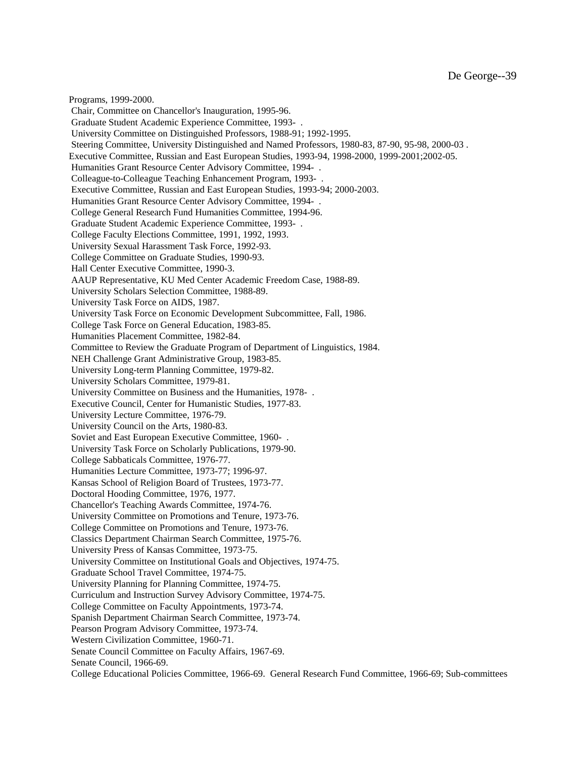Programs, 1999-2000. Chair, Committee on Chancellor's Inauguration, 1995-96. Graduate Student Academic Experience Committee, 1993- . University Committee on Distinguished Professors, 1988-91; 1992-1995. Steering Committee, University Distinguished and Named Professors, 1980-83, 87-90, 95-98, 2000-03 . Executive Committee, Russian and East European Studies, 1993-94, 1998-2000, 1999-2001;2002-05. Humanities Grant Resource Center Advisory Committee, 1994- . Colleague-to-Colleague Teaching Enhancement Program, 1993- . Executive Committee, Russian and East European Studies, 1993-94; 2000-2003. Humanities Grant Resource Center Advisory Committee, 1994- . College General Research Fund Humanities Committee, 1994-96. Graduate Student Academic Experience Committee, 1993- . College Faculty Elections Committee, 1991, 1992, 1993. University Sexual Harassment Task Force, 1992-93. College Committee on Graduate Studies, 1990-93. Hall Center Executive Committee, 1990-3. AAUP Representative, KU Med Center Academic Freedom Case, 1988-89. University Scholars Selection Committee, 1988-89. University Task Force on AIDS, 1987. University Task Force on Economic Development Subcommittee, Fall, 1986. College Task Force on General Education, 1983-85. Humanities Placement Committee, 1982-84. Committee to Review the Graduate Program of Department of Linguistics, 1984. NEH Challenge Grant Administrative Group, 1983-85. University Long-term Planning Committee, 1979-82. University Scholars Committee, 1979-81. University Committee on Business and the Humanities, 1978- . Executive Council, Center for Humanistic Studies, 1977-83. University Lecture Committee, 1976-79. University Council on the Arts, 1980-83. Soviet and East European Executive Committee, 1960- . University Task Force on Scholarly Publications, 1979-90. College Sabbaticals Committee, 1976-77. Humanities Lecture Committee, 1973-77; 1996-97. Kansas School of Religion Board of Trustees, 1973-77. Doctoral Hooding Committee, 1976, 1977. Chancellor's Teaching Awards Committee, 1974-76. University Committee on Promotions and Tenure, 1973-76. College Committee on Promotions and Tenure, 1973-76. Classics Department Chairman Search Committee, 1975-76. University Press of Kansas Committee, 1973-75. University Committee on Institutional Goals and Objectives, 1974-75. Graduate School Travel Committee, 1974-75. University Planning for Planning Committee, 1974-75. Curriculum and Instruction Survey Advisory Committee, 1974-75. College Committee on Faculty Appointments, 1973-74. Spanish Department Chairman Search Committee, 1973-74. Pearson Program Advisory Committee, 1973-74. Western Civilization Committee, 1960-71. Senate Council Committee on Faculty Affairs, 1967-69. Senate Council, 1966-69. College Educational Policies Committee, 1966-69. General Research Fund Committee, 1966-69; Sub-committees